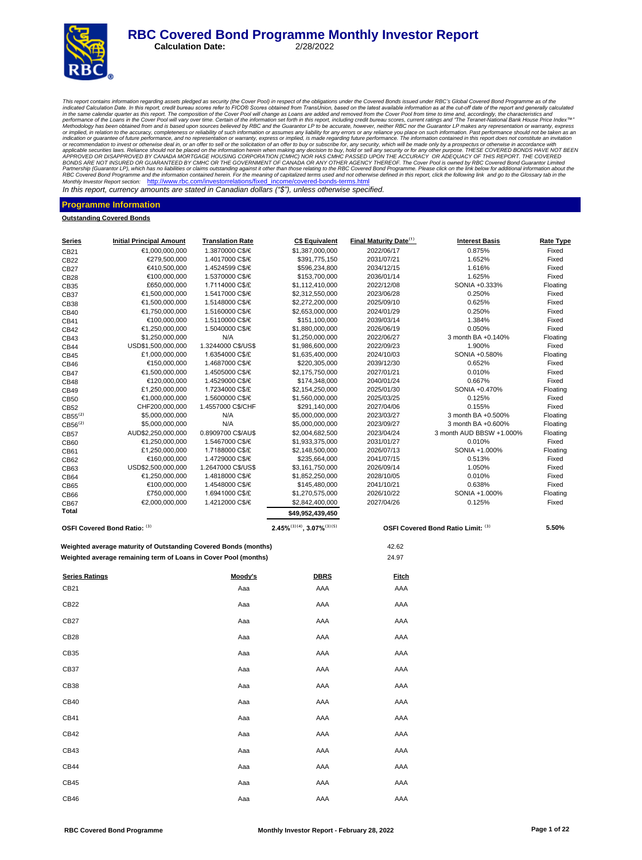# **RBC Covered Bond Programme Monthly Investor Report**<br>Calculation Date: 2/28/2022

**Calculation Date:** 

This report contains information regarding assets pledged as security (the Cover Pool) in respect of the obligations curdent the Cover Rolo information contains information as at the cut-off date of the report and generall or recommendation to invest or otherwise deal in, or an offer to sell or the solicitation of an offer to buy or subscribe for, any security, which will be made only by a prospectus or otherwise in accordance with APPROVER Monthly Investor Report section: http://www.rbc.com/investorrelations/fixed\_income/covered-bonds-terms.html

In this report, currency amounts are stated in Canadian dollars *("\$"),* unless otherwise specified.

#### **Programme Information**

**Outstanding Covered Bonds**

| <u>Series</u>         | <b>Initial Principal Amount</b>                                 | <b>Translation Rate</b>            | <b>C\$ Equivalent</b>                 | Final Maturity Date <sup>(1)</sup> | <b>Interest Basis</b>              | <b>Rate Type</b>  |
|-----------------------|-----------------------------------------------------------------|------------------------------------|---------------------------------------|------------------------------------|------------------------------------|-------------------|
| CB21                  | €1,000,000,000                                                  | 1.3870000 C\$/€                    | \$1,387,000,000                       | 2022/06/17                         | 0.875%                             | Fixed             |
| CB22                  | €279,500,000                                                    | 1.4017000 C\$/€                    | \$391,775,150                         | 2031/07/21                         | 1.652%                             | Fixed             |
| CB27                  | €410,500,000                                                    | 1.4524599 C\$/€                    | \$596,234,800                         | 2034/12/15                         | 1.616%                             | Fixed             |
| CB28                  | €100,000,000                                                    | 1.5370000 C\$/€                    | \$153,700,000                         | 2036/01/14                         | 1.625%                             | Fixed             |
| CB35                  | £650,000,000                                                    | 1.7114000 C\$/£                    | \$1,112,410,000                       | 2022/12/08                         | SONIA +0.333%                      | Floating          |
| CB37                  | €1,500,000,000                                                  | 1.5417000 C\$/€                    | \$2,312,550,000                       | 2023/06/28                         | 0.250%                             | Fixed             |
| CB38                  | €1,500,000,000                                                  | 1.5148000 C\$/€                    | \$2,272,200,000                       | 2025/09/10                         | 0.625%                             | Fixed             |
| CB40                  | €1,750,000,000                                                  | 1.5160000 C\$/€                    | \$2,653,000,000                       | 2024/01/29                         | 0.250%                             | Fixed             |
| CB41                  | €100,000,000                                                    | 1.5110000 C\$/€                    | \$151,100,000                         | 2039/03/14                         | 1.384%                             | Fixed             |
| CB42                  | €1,250,000,000                                                  | 1.5040000 C\$/€                    | \$1,880,000,000                       | 2026/06/19                         | 0.050%                             | Fixed             |
| CB43                  | \$1,250,000,000                                                 | N/A                                | \$1,250,000,000                       | 2022/06/27                         | 3 month BA +0.140%                 | Floating          |
| CB44                  | USD\$1,500,000,000                                              | 1.3244000 C\$/US\$                 | \$1,986,600,000                       | 2022/09/23                         | 1.900%                             | Fixed             |
| CB45                  | £1,000,000,000                                                  | 1.6354000 C\$/£                    | \$1,635,400,000                       | 2024/10/03                         | SONIA +0.580%                      | Floating          |
| CB46                  | €150,000,000                                                    | 1.4687000 C\$/€                    | \$220,305,000                         | 2039/12/30                         | 0.652%                             | Fixed             |
| CB47                  | €1,500,000,000                                                  | 1.4505000 C\$/€                    | \$2,175,750,000                       | 2027/01/21                         | 0.010%                             | Fixed             |
| CB48                  | €120,000,000                                                    | 1.4529000 C\$/€                    | \$174,348,000                         | 2040/01/24                         | 0.667%                             | Fixed             |
| CB49                  | £1,250,000,000                                                  | 1.7234000 C\$/£                    | \$2,154,250,000                       | 2025/01/30                         | SONIA +0.470%                      | Floating          |
| CB50                  | €1,000,000,000                                                  | 1.5600000 C\$/€                    | \$1,560,000,000                       | 2025/03/25                         | 0.125%                             | Fixed             |
| CB52                  | CHF200,000,000                                                  | 1.4557000 C\$/CHF                  | \$291,140,000                         | 2027/04/06                         | 0.155%                             | Fixed             |
| $CB55^{(2)}$          | \$5,000,000,000                                                 | N/A                                | \$5,000,000,000                       | 2023/03/27                         | 3 month BA +0.500%                 | Floating          |
| CB56 <sup>(2)</sup>   | \$5,000,000,000                                                 | N/A                                | \$5,000,000,000                       | 2023/09/27                         | 3 month BA +0.600%                 | Floating          |
| CB57                  | AUD\$2,250,000,000                                              | 0.8909700 C\$/AU\$                 | \$2,004,682,500                       | 2023/04/24                         | 3 month AUD BBSW +1.000%<br>0.010% | Floating          |
| CB60                  | €1,250,000,000<br>£1,250,000,000                                | 1.5467000 C\$/€<br>1.7188000 C\$/£ | \$1,933,375,000<br>\$2,148,500,000    | 2031/01/27<br>2026/07/13           | SONIA +1.000%                      | Fixed<br>Floating |
| CB61                  | €160,000,000                                                    | 1.4729000 C\$/€                    | \$235,664,000                         | 2041/07/15                         | 0.513%                             | Fixed             |
| CB62                  | USD\$2,500,000,000                                              | 1.2647000 C\$/US\$                 | \$3,161,750,000                       | 2026/09/14                         | 1.050%                             | Fixed             |
| CB63                  | €1,250,000,000                                                  | 1.4818000 C\$/€                    | \$1,852,250,000                       | 2028/10/05                         | 0.010%                             | Fixed             |
| CB64<br>CB65          | €100,000,000                                                    | 1.4548000 C\$/€                    | \$145,480,000                         | 2041/10/21                         | 0.638%                             | Fixed             |
|                       | £750,000,000                                                    | 1.6941000 C\$/£                    | \$1,270,575,000                       | 2026/10/22                         | SONIA +1.000%                      | Floating          |
| CB66<br>CB67          | €2,000,000,000                                                  | 1.4212000 C\$/€                    | \$2,842,400,000                       | 2027/04/26                         | 0.125%                             | Fixed             |
| Total                 |                                                                 |                                    | \$49,952,439,450                      |                                    |                                    |                   |
|                       |                                                                 |                                    |                                       |                                    |                                    |                   |
|                       | OSFI Covered Bond Ratio: (3)                                    |                                    | $2.45\%^{(3)(4)}$ , $3.07\%^{(3)(5)}$ |                                    | OSFI Covered Bond Ratio Limit: (3) | 5.50%             |
|                       | Weighted average maturity of Outstanding Covered Bonds (months) |                                    |                                       | 42.62                              |                                    |                   |
|                       | Weighted average remaining term of Loans in Cover Pool (months) |                                    |                                       | 24.97                              |                                    |                   |
| <b>Series Ratings</b> |                                                                 | Moody's                            | <b>DBRS</b>                           | <b>Fitch</b>                       |                                    |                   |
| CB21                  |                                                                 | Aaa                                | AAA                                   | AAA                                |                                    |                   |
| CB22                  |                                                                 | Aaa                                | AAA                                   | AAA                                |                                    |                   |
| <b>CB27</b>           |                                                                 | Aaa                                | AAA                                   | AAA                                |                                    |                   |
| CB <sub>28</sub>      |                                                                 | Aaa                                | AAA                                   | AAA                                |                                    |                   |
| CB35                  |                                                                 | Aaa                                | AAA                                   | AAA                                |                                    |                   |
| CB <sub>37</sub>      |                                                                 | Aaa                                | AAA                                   | AAA                                |                                    |                   |
| CB38                  |                                                                 | Aaa                                | AAA                                   | AAA                                |                                    |                   |
| CB40                  |                                                                 | Aaa                                | AAA                                   | AAA                                |                                    |                   |
| CB41                  |                                                                 | Aaa                                | AAA                                   | AAA                                |                                    |                   |
| CB42                  |                                                                 | Aaa                                | AAA                                   | AAA                                |                                    |                   |
|                       |                                                                 |                                    |                                       |                                    |                                    |                   |
| CB43                  |                                                                 | Aaa                                | AAA                                   | AAA                                |                                    |                   |
| <b>CB44</b>           |                                                                 | Aaa                                | AAA                                   | AAA                                |                                    |                   |
| CB45                  |                                                                 | Aaa                                | AAA                                   | AAA                                |                                    |                   |
| CB46                  |                                                                 | Aaa                                | AAA                                   | AAA                                |                                    |                   |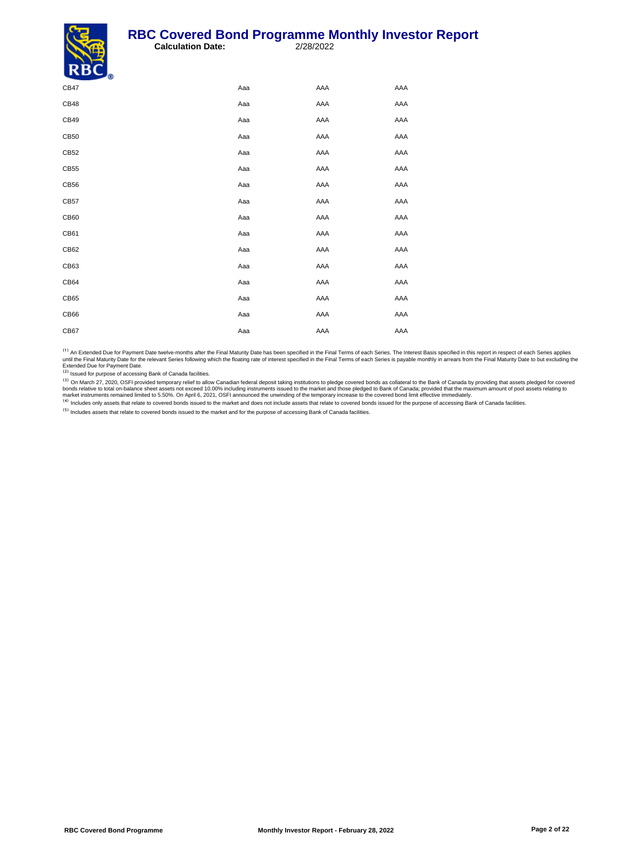#### **RBC Covered Bond Programme Monthly Investor Report**<br>Calculation Date: 2/28/2022 **Calculation Date:**



| - 9  |     |     |     |
|------|-----|-----|-----|
| CB47 | Aaa | AAA | AAA |
| CB48 | Aaa | AAA | AAA |
| CB49 | Aaa | AAA | AAA |
| CB50 | Aaa | AAA | AAA |
| CB52 | Aaa | AAA | AAA |
| CB55 | Aaa | AAA | AAA |
| CB56 | Aaa | AAA | AAA |
| CB57 | Aaa | AAA | AAA |
| CB60 | Aaa | AAA | AAA |
| CB61 | Aaa | AAA | AAA |
| CB62 | Aaa | AAA | AAA |
| CB63 | Aaa | AAA | AAA |
| CB64 | Aaa | AAA | AAA |
| CB65 | Aaa | AAA | AAA |
| CB66 | Aaa | AAA | AAA |
| CB67 | Aaa | AAA | AAA |

<sup>(1)</sup> An Extended Due for Payment Date twelve-months after the Final Maturity Date has been specified in the Final Terms of each Series. The Interest Basis specified in this report in respect of each Series applies<br>until t

<sup>(2)</sup> Issued for purpose of accessing Bank of Canada facilities.

<sup>(3)</sup> On March 27, 2020, OSFI provided temporary relief to allow Canadian federal deposit taking institutions to pledge covered bonds as collateral to the Bank of Canada by providing that assets pledged for covered bords r

Includes assets that relate to covered bonds issued to the market and for the purpose of accessing Bank of Canada facilities.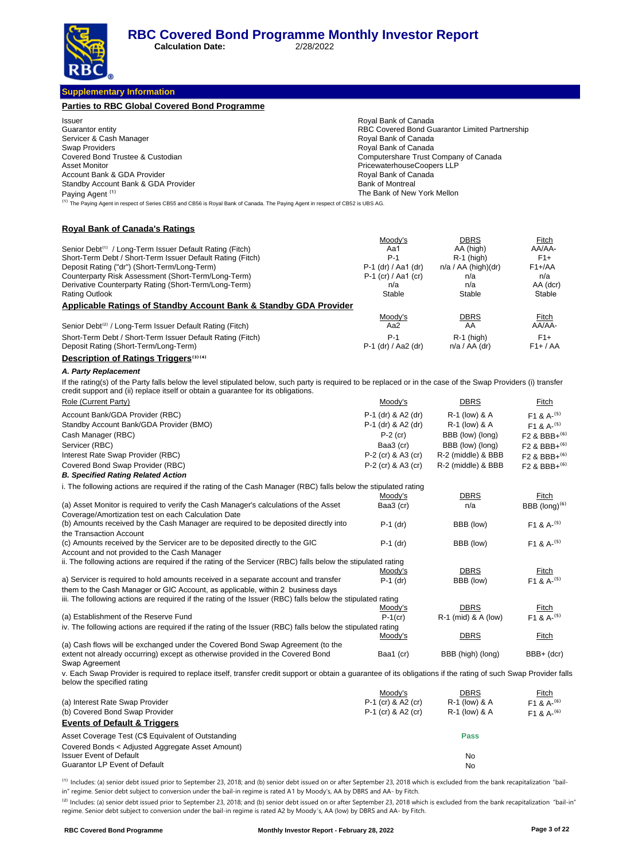**Calculation Date:** 2/28/2022

#### **Supplementary Information**

| Supplementary Information                                                                                                                                                 |                                                        |                                                |                                      |
|---------------------------------------------------------------------------------------------------------------------------------------------------------------------------|--------------------------------------------------------|------------------------------------------------|--------------------------------------|
| Parties to RBC Global Covered Bond Programme                                                                                                                              |                                                        |                                                |                                      |
| lssuer                                                                                                                                                                    | Royal Bank of Canada                                   |                                                |                                      |
| Guarantor entity                                                                                                                                                          |                                                        | RBC Covered Bond Guarantor Limited Partnership |                                      |
| Servicer & Cash Manager                                                                                                                                                   | Royal Bank of Canada                                   |                                                |                                      |
| Swap Providers                                                                                                                                                            | Royal Bank of Canada                                   |                                                |                                      |
| Covered Bond Trustee & Custodian                                                                                                                                          | Computershare Trust Company of Canada                  |                                                |                                      |
| Asset Monitor                                                                                                                                                             | PricewaterhouseCoopers LLP                             |                                                |                                      |
| Account Bank & GDA Provider                                                                                                                                               | Royal Bank of Canada                                   |                                                |                                      |
| Standby Account Bank & GDA Provider                                                                                                                                       | <b>Bank of Montreal</b><br>The Bank of New York Mellon |                                                |                                      |
| Paying Agent <sup>(1)</sup><br><sup>(1)</sup> The Paying Agent in respect of Series CB55 and CB56 is Royal Bank of Canada. The Paying Agent in respect of CB52 is UBS AG. |                                                        |                                                |                                      |
|                                                                                                                                                                           |                                                        |                                                |                                      |
| <u> Royal Bank of Canada's Ratings</u>                                                                                                                                    |                                                        |                                                |                                      |
|                                                                                                                                                                           | <u>Moody's</u>                                         | <b>DBRS</b>                                    | <b>Fitch</b>                         |
| Senior Debt <sup>(1)</sup> / Long-Term Issuer Default Rating (Fitch)                                                                                                      | Aa1                                                    | AA (high)                                      | AA/AA-                               |
| Short-Term Debt / Short-Term Issuer Default Rating (Fitch)                                                                                                                | $P-1$                                                  | $R-1$ (high)                                   | $F1+$                                |
| Deposit Rating ("dr") (Short-Term/Long-Term)                                                                                                                              | P-1 (dr) / Aa1 (dr)                                    | $n/a / AA$ (high)(dr)                          | $F1 + /AA$                           |
| Counterparty Risk Assessment (Short-Term/Long-Term)                                                                                                                       | $P-1$ (cr) / Aa1 (cr)                                  | n/a                                            | n/a                                  |
| Derivative Counterparty Rating (Short-Term/Long-Term)                                                                                                                     | n/a                                                    | n/a                                            | AA (dcr)                             |
| Rating Outlook                                                                                                                                                            | Stable                                                 | Stable                                         | Stable                               |
| <u>Applicable Ratings of Standby Account Bank &amp; Standby GDA Provider</u>                                                                                              |                                                        |                                                |                                      |
| Senior Debt <sup>(2)</sup> / Long-Term Issuer Default Rating (Fitch)                                                                                                      | Moody's<br>Aa2                                         | <b>DBRS</b><br>AA                              | Fitch<br>AA/AA-                      |
|                                                                                                                                                                           |                                                        |                                                |                                      |
| Short-Term Debt / Short-Term Issuer Default Rating (Fitch)                                                                                                                | $P-1$                                                  | $R-1$ (high)                                   | $F1+$                                |
| Deposit Rating (Short-Term/Long-Term)                                                                                                                                     | P-1 (dr) / Aa2 (dr)                                    | $n/a / AA$ (dr)                                | $F1+ / AA$                           |
| <b>Description of Ratings Triggers (3) (4)</b>                                                                                                                            |                                                        |                                                |                                      |
| A. Party Replacement                                                                                                                                                      |                                                        |                                                |                                      |
| If the rating(s) of the Party falls below the level stipulated below, such party is required to be replaced or in the case of the Swap Providers (i) transfer             |                                                        |                                                |                                      |
| credit support and (ii) replace itself or obtain a quarantee for its obligations.                                                                                         |                                                        |                                                |                                      |
| Role (Current Party)                                                                                                                                                      | <u>Moody's</u>                                         | <u>DBRS</u>                                    | <b>Fitch</b>                         |
| Account Bank/GDA Provider (RBC)                                                                                                                                           | P-1 (dr) & A2 (dr)                                     | R-1 (low) & A                                  | F <sub>1</sub> & A <sup>-(5)</sup>   |
| Standby Account Bank/GDA Provider (BMO)                                                                                                                                   | P-1 (dr) & A2 (dr)                                     | R-1 (low) & A                                  | F1 & A- $(5)$                        |
| Cash Manager (RBC)                                                                                                                                                        | $P-2$ (cr)                                             | BBB (low) (long)                               | F <sub>2</sub> & BBB+ <sup>(6)</sup> |
| Servicer (RBC)                                                                                                                                                            | Baa3 (cr)                                              | BBB (low) (long)                               | F <sub>2</sub> & BBB+ <sup>(6)</sup> |
| Interest Rate Swap Provider (RBC)                                                                                                                                         | P-2 (cr) & A3 (cr)                                     | R-2 (middle) & BBB                             | F <sub>2</sub> & BBB+ <sup>(6)</sup> |
| Covered Bond Swap Provider (RBC)                                                                                                                                          | P-2 (cr) & A3 (cr)                                     | R-2 (middle) & BBB                             |                                      |
| <b>B. Specified Rating Related Action</b>                                                                                                                                 |                                                        |                                                | $F2$ & BBB+ <sup>(6)</sup>           |
|                                                                                                                                                                           |                                                        |                                                |                                      |
| i. The following actions are required if the rating of the Cash Manager (RBC) falls below the stipulated rating                                                           |                                                        |                                                |                                      |
| (a) Asset Monitor is required to verify the Cash Manager's calculations of the Asset                                                                                      | Moody's                                                | DBRS<br>n/a                                    | Fitch                                |
| Coverage/Amortization test on each Calculation Date                                                                                                                       | Baa3 (cr)                                              |                                                | BBB (long) <sup>(6)</sup>            |
| (b) Amounts received by the Cash Manager are required to be deposited directly into                                                                                       | $P-1$ (dr)                                             | BBB (low)                                      | F <sub>1</sub> & A <sup>-(5)</sup>   |
| the Transaction Account                                                                                                                                                   |                                                        |                                                |                                      |
| (c) Amounts received by the Servicer are to be deposited directly to the GIC                                                                                              | $P-1$ (dr)                                             | BBB (low)                                      | $F1$ & A- <sup>(5)</sup>             |
| Account and not provided to the Cash Manager                                                                                                                              |                                                        |                                                |                                      |
| ii. The following actions are required if the rating of the Servicer (RBC) falls below the stipulated rating                                                              |                                                        |                                                |                                      |
|                                                                                                                                                                           | Moody's                                                | <b>DBRS</b>                                    | Fitch                                |
| a) Servicer is required to hold amounts received in a separate account and transfer                                                                                       | P-1 (dr)                                               | BBB (low)                                      | $F1$ & A- <sup>(5)</sup>             |
| them to the Cash Manager or GIC Account, as applicable, within 2  business days                                                                                           |                                                        |                                                |                                      |
| iii. The following actions are required if the rating of the Issuer (RBC) falls below the stipulated rating                                                               |                                                        |                                                |                                      |
|                                                                                                                                                                           | Moody's                                                | DBRS                                           | Fitch                                |
| (a) Establishment of the Reserve Fund                                                                                                                                     | $P-1$ (cr)                                             | R-1 (mid) & A (low)                            | $F1$ & A- $(5)$                      |
| iv. The following actions are required if the rating of the Issuer (RBC) falls below the stipulated rating                                                                |                                                        |                                                |                                      |
| (a) Cash flows will be exchanged under the Covered Bond Swap Agreement (to the                                                                                            | Moody's                                                | DBRS                                           | <b>Fitch</b>                         |
| extent not already occurring) except as otherwise provided in the Covered Bond                                                                                            | Baa1 (cr)                                              | BBB (high) (long)                              | BBB+ (dcr)                           |
| Swap Agreement                                                                                                                                                            |                                                        |                                                |                                      |
| v. Each Swap Provider is required to replace itself, transfer credit support or obtain a guarantee of its obligations if the rating of such Swap Provider falls           |                                                        |                                                |                                      |
| below the specified rating                                                                                                                                                |                                                        |                                                |                                      |
|                                                                                                                                                                           | <u>Moody's</u>                                         | DBRS                                           | <b>Fitch</b>                         |
| (a) Interest Rate Swap Provider                                                                                                                                           | P-1 (cr) & A2 (cr)                                     | R-1 (low) & A                                  | $F1$ & A- <sup>(6)</sup>             |
| (b) Covered Bond Swap Provider                                                                                                                                            | P-1 (cr) & A2 (cr)                                     | R-1 (low) & A                                  | $F1 & A-(6)$                         |
| <b>Events of Default &amp; Triggers</b>                                                                                                                                   |                                                        |                                                |                                      |
| Asset Coverage Test (C\$ Equivalent of Outstanding                                                                                                                        |                                                        | <b>Pass</b>                                    |                                      |
| Covered Bonds < Adjusted Aggregate Asset Amount)                                                                                                                          |                                                        |                                                |                                      |
| <b>Issuer Event of Default</b>                                                                                                                                            |                                                        | No                                             |                                      |
| Guarantor LP Event of Default                                                                                                                                             |                                                        | No                                             |                                      |
|                                                                                                                                                                           |                                                        |                                                |                                      |

<sup>(1)</sup> Includes: (a) senior debt issued prior to September 23, 2018; and (b) senior debt issued on or after September 23, 2018 which is excluded from the bank recapitalization "bailin" regime. Senior debt subject to conversion under the bail-in regime is rated A1 by Moody's, AA by DBRS and AA- by Fitch.

<sup>(2)</sup> Includes: (a) senior debt issued prior to September 23, 2018; and (b) senior debt issued on or after September 23, 2018 which is excluded from the bank recapitalization "bail-in" regime. Senior debt subject to conversion under the bail-in regime is rated A2 by Moody 's, AA (low) by DBRS and AA- by Fitch.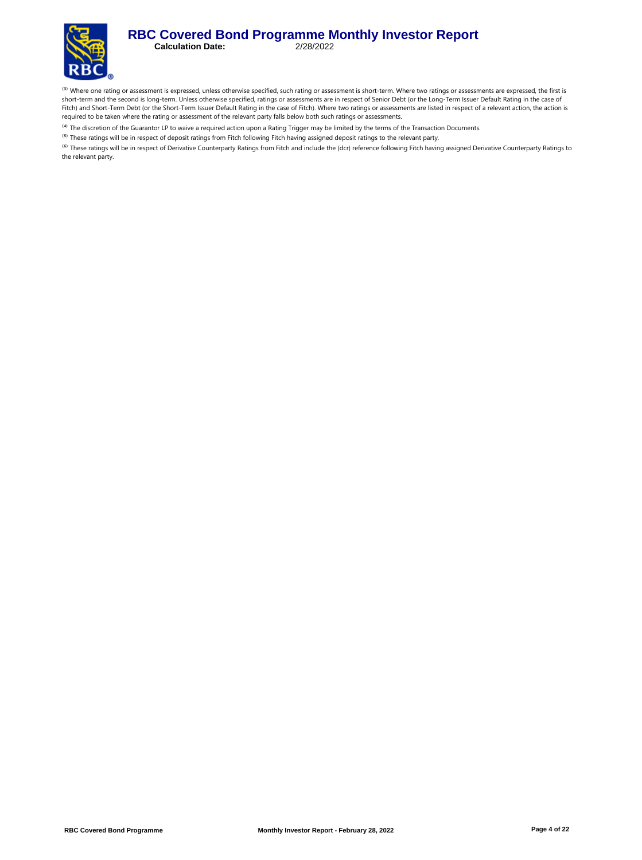#### **RBC Covered Bond Programme Monthly Investor Report**<br>Calculation Date: 2/28/2022 **Calculation Date:**



<sup>(3)</sup> Where one rating or assessment is expressed, unless otherwise specified, such rating or assessment is short-term. Where two ratings or assessments are expressed, the first is short-term and the second is long-term. Unless otherwise specified, ratings or assessments are in respect of Senior Debt (or the Long-Term Issuer Default Rating in the case of Fitch) and Short-Term Debt (or the Short-Term Issuer Default Rating in the case of Fitch). Where two ratings or assessments are listed in respect of a relevant action, the action is required to be taken where the rating or assessment of the relevant party falls below both such ratings or assessments.

<sup>(4)</sup> The discretion of the Guarantor LP to waive a required action upon a Rating Trigger may be limited by the terms of the Transaction Documents.

<sup>(5)</sup> These ratings will be in respect of deposit ratings from Fitch following Fitch having assigned deposit ratings to the relevant party.

<sup>(6)</sup> These ratings will be in respect of Derivative Counterparty Ratings from Fitch and include the (dcr) reference following Fitch having assigned Derivative Counterparty Ratings to the relevant party.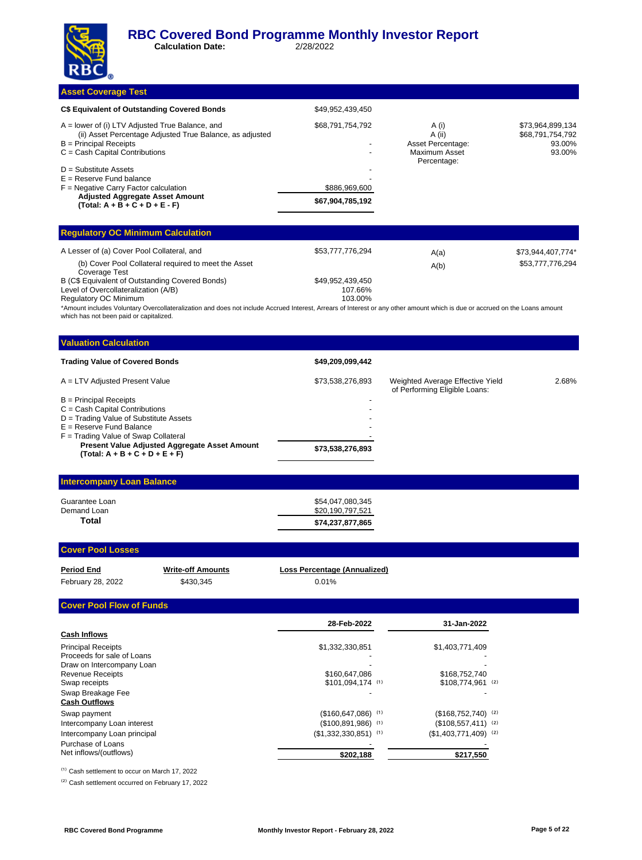**Calculation Date:** 2/28/2022

#### **Asset Coverage Test**

| C\$ Equivalent of Outstanding Covered Bonds                                                                                                                                    | \$49,952,439,450                  |                                                       |                                                          |
|--------------------------------------------------------------------------------------------------------------------------------------------------------------------------------|-----------------------------------|-------------------------------------------------------|----------------------------------------------------------|
| $A =$ lower of (i) LTV Adjusted True Balance, and<br>(ii) Asset Percentage Adjusted True Balance, as adjusted<br>$B =$ Principal Receipts<br>$C = Cash$ Capital Contributions  | \$68,791,754,792                  | A (i)<br>A (ii)<br>Asset Percentage:<br>Maximum Asset | \$73,964,899,134<br>\$68,791,754,792<br>93.00%<br>93.00% |
| $D =$ Substitute Assets<br>$E =$ Reserve Fund balance<br>$F =$ Negative Carry Factor calculation<br><b>Adjusted Aggregate Asset Amount</b><br>$(Total: A + B + C + D + E - F)$ | \$886,969,600<br>\$67,904,785,192 | Percentage:                                           |                                                          |
| <b>Beautiful and AA Middle Commander Control</b>                                                                                                                               |                                   |                                                       |                                                          |

| <b>Regulatory OC Minimum Calculation</b>                              |                  |      |                   |  |  |  |  |
|-----------------------------------------------------------------------|------------------|------|-------------------|--|--|--|--|
| A Lesser of (a) Cover Pool Collateral, and                            | \$53,777,776,294 | A(a) | \$73.944.407.774* |  |  |  |  |
| (b) Cover Pool Collateral required to meet the Asset<br>Coverage Test |                  | A(b) | \$53,777,776,294  |  |  |  |  |
| B (C\$ Equivalent of Outstanding Covered Bonds)                       | \$49,952,439,450 |      |                   |  |  |  |  |
| Level of Overcollateralization (A/B)                                  | 107.66%          |      |                   |  |  |  |  |
| Regulatory OC Minimum                                                 | 103.00%          |      |                   |  |  |  |  |

\*Amount includes Voluntary Overcollateralization and does not include Accrued Interest, Arrears of Interest or any other amount which is due or accrued on the Loans amount which has not been paid or capitalized.

| <b>Valuation Calculation</b>                                                             |                  |                                                                   |       |
|------------------------------------------------------------------------------------------|------------------|-------------------------------------------------------------------|-------|
| <b>Trading Value of Covered Bonds</b>                                                    | \$49,209,099,442 |                                                                   |       |
| A = LTV Adjusted Present Value                                                           | \$73,538,276,893 | Weighted Average Effective Yield<br>of Performing Eligible Loans: | 2.68% |
| $B =$ Principal Receipts                                                                 |                  |                                                                   |       |
| $C = Cash$ Capital Contributions                                                         |                  |                                                                   |       |
| D = Trading Value of Substitute Assets                                                   |                  |                                                                   |       |
| $E =$ Reserve Fund Balance                                                               |                  |                                                                   |       |
| $F =$ Trading Value of Swap Collateral                                                   |                  |                                                                   |       |
| <b>Present Value Adjusted Aggregate Asset Amount</b><br>$(Total: A + B + C + D + E + F)$ | \$73,538,276,893 |                                                                   |       |
|                                                                                          |                  |                                                                   |       |

#### **Intercompany Loan Balance**

| Guarantee Loan | \$54,047,080,345 |
|----------------|------------------|
| Demand Loan    | \$20,190,797,521 |
| Total          | \$74,237,877,865 |

#### **Cover Pool Losses**

| <b>Period End</b> | <b>Write-off Amounts</b> | Loss Percentage (Annualized) |
|-------------------|--------------------------|------------------------------|
| February 28, 2022 | \$430.345                | 0.01%                        |

#### **Cover Pool Flow of Funds**

|                             | 28-Feb-2022                     | 31-Jan-2022            |  |
|-----------------------------|---------------------------------|------------------------|--|
| <b>Cash Inflows</b>         |                                 |                        |  |
| <b>Principal Receipts</b>   | \$1,332,330,851                 | \$1,403,771,409        |  |
| Proceeds for sale of Loans  |                                 |                        |  |
| Draw on Intercompany Loan   |                                 |                        |  |
| <b>Revenue Receipts</b>     | \$160,647,086                   | \$168,752,740          |  |
| Swap receipts               | $$101.094.174$ (1)              | $$108.774.961$ (2)     |  |
| Swap Breakage Fee           |                                 |                        |  |
| <b>Cash Outflows</b>        |                                 |                        |  |
| Swap payment                | $($160,647,086)$ <sup>(1)</sup> | $($168,752,740)$ (2)   |  |
| Intercompany Loan interest  | $($100,891,986)$ <sup>(1)</sup> | $($108,557,411)$ (2)   |  |
| Intercompany Loan principal | $($1,332,330,851)$ (1)          | $($1,403,771,409)$ (2) |  |
| Purchase of Loans           |                                 |                        |  |
| Net inflows/(outflows)      | \$202,188                       | \$217,550              |  |

 $^{(1)}$  Cash settlement to occur on March 17, 2022

<sup>(2)</sup> Cash settlement occurred on February 17, 2022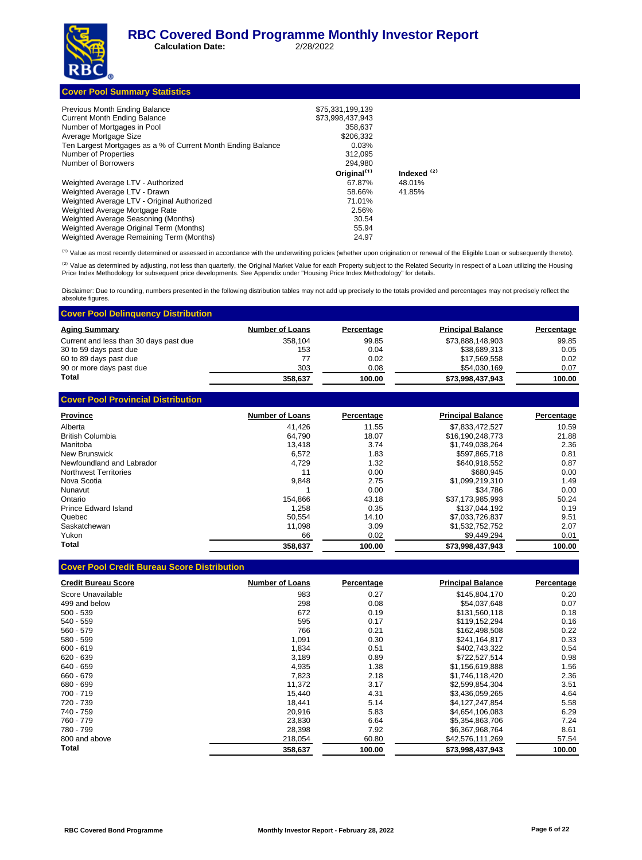**Calculation Date:** 2/28/2022



| 358.637                 |                                               |
|-------------------------|-----------------------------------------------|
| \$206,332               |                                               |
| 0.03%                   |                                               |
| 312.095                 |                                               |
| 294.980                 |                                               |
| Original <sup>(1)</sup> | Indexed <sup>(2)</sup>                        |
| 67.87%                  | 48.01%                                        |
| 58.66%                  | 41.85%                                        |
| 71.01%                  |                                               |
| 2.56%                   |                                               |
| 30.54                   |                                               |
| 55.94                   |                                               |
|                         |                                               |
|                         | \$75,331,199,139<br>\$73.998.437.943<br>24.97 |

(1) Value as most recently determined or assessed in accordance with the underwriting policies (whether upon origination or renewal of the Eligible Loan or subsequently thereto).

<sup>(2)</sup> Value as determined by adjusting, not less than quarterly, the Original Market Value for each Property subject to the Related Security in respect of a Loan utilizing the Housing<br>Price Index Methodology for subsequent

Disclaimer: Due to rounding, numbers presented in the following distribution tables may not add up precisely to the totals provided and percentages may not precisely reflect the absolute figures.

| <b>Cover Pool Delinguency Distribution</b> |                        |            |                          |            |
|--------------------------------------------|------------------------|------------|--------------------------|------------|
| <b>Aging Summary</b>                       | <b>Number of Loans</b> | Percentage | <b>Principal Balance</b> | Percentage |
| Current and less than 30 days past due     | 358.104                | 99.85      | \$73.888.148.903         | 99.85      |
| 30 to 59 days past due                     | 153                    | 0.04       | \$38.689.313             | 0.05       |
| 60 to 89 days past due                     | 77                     | 0.02       | \$17.569.558             | 0.02       |
| 90 or more days past due                   | 303                    | 0.08       | \$54,030,169             | 0.07       |
| Total                                      | 358,637                | 100.00     | \$73,998,437,943         | 100.00     |
|                                            |                        |            |                          |            |

| <b>OUVEL LOUI LIBYING DISTINGUIU</b> |                        |            |                          |            |
|--------------------------------------|------------------------|------------|--------------------------|------------|
| <b>Province</b>                      | <b>Number of Loans</b> | Percentage | <b>Principal Balance</b> | Percentage |
| Alberta                              | 41.426                 | 11.55      | \$7,833,472,527          | 10.59      |
| <b>British Columbia</b>              | 64.790                 | 18.07      | \$16,190,248,773         | 21.88      |
| Manitoba                             | 13.418                 | 3.74       | \$1.749.038.264          | 2.36       |
| <b>New Brunswick</b>                 | 6.572                  | 1.83       | \$597.865.718            | 0.81       |
| Newfoundland and Labrador            | 4.729                  | 1.32       | \$640.918.552            | 0.87       |
| Northwest Territories                | 11                     | 0.00       | \$680.945                | 0.00       |
| Nova Scotia                          | 9,848                  | 2.75       | \$1,099,219,310          | 1.49       |
| Nunavut                              |                        | 0.00       | \$34.786                 | 0.00       |
| Ontario                              | 154.866                | 43.18      | \$37,173,985,993         | 50.24      |
| Prince Edward Island                 | 1.258                  | 0.35       | \$137.044.192            | 0.19       |
| Quebec                               | 50.554                 | 14.10      | \$7,033,726,837          | 9.51       |
| Saskatchewan                         | 11.098                 | 3.09       | \$1,532,752,752          | 2.07       |
| Yukon                                | 66                     | 0.02       | \$9.449.294              | 0.01       |
| Total                                | 358.637                | 100.00     | \$73,998,437,943         | 100.00     |
|                                      |                        |            |                          |            |

|  | <b>Cover Pool Credit Bureau Score Distribution</b> |  |
|--|----------------------------------------------------|--|
|--|----------------------------------------------------|--|

**Cover Pool Provincial Distribution**

| <b>Credit Bureau Score</b> | <b>Number of Loans</b> | Percentage | <b>Principal Balance</b> | Percentage |
|----------------------------|------------------------|------------|--------------------------|------------|
| Score Unavailable          | 983                    | 0.27       | \$145,804,170            | 0.20       |
| 499 and below              | 298                    | 0.08       | \$54,037,648             | 0.07       |
| $500 - 539$                | 672                    | 0.19       | \$131,560,118            | 0.18       |
| 540 - 559                  | 595                    | 0.17       | \$119.152.294            | 0.16       |
| $560 - 579$                | 766                    | 0.21       | \$162,498,508            | 0.22       |
| 580 - 599                  | 1,091                  | 0.30       | \$241,164,817            | 0.33       |
| $600 - 619$                | 1,834                  | 0.51       | \$402,743,322            | 0.54       |
| $620 - 639$                | 3,189                  | 0.89       | \$722,527,514            | 0.98       |
| 640 - 659                  | 4,935                  | 1.38       | \$1.156.619.888          | 1.56       |
| 660 - 679                  | 7.823                  | 2.18       | \$1,746,118,420          | 2.36       |
| 680 - 699                  | 11.372                 | 3.17       | \$2,599,854,304          | 3.51       |
| 700 - 719                  | 15,440                 | 4.31       | \$3,436,059,265          | 4.64       |
| 720 - 739                  | 18.441                 | 5.14       | \$4,127,247,854          | 5.58       |
| 740 - 759                  | 20,916                 | 5.83       | \$4.654.106.083          | 6.29       |
| 760 - 779                  | 23,830                 | 6.64       | \$5,354,863,706          | 7.24       |
| 780 - 799                  | 28,398                 | 7.92       | \$6,367,968,764          | 8.61       |
| 800 and above              | 218,054                | 60.80      | \$42,576,111,269         | 57.54      |
| Total                      | 358.637                | 100.00     | \$73.998.437.943         | 100.00     |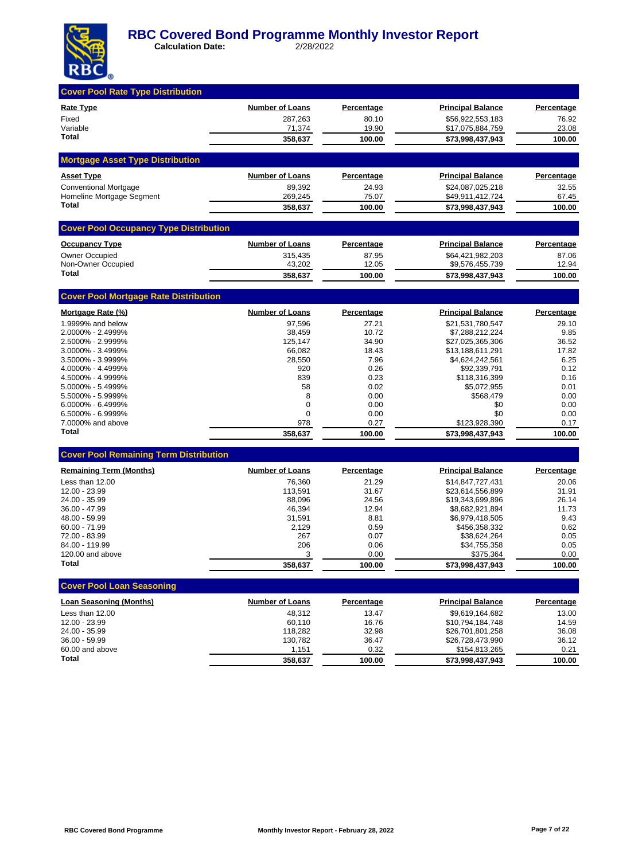

| <b>Cover Pool Rate Type Distribution</b>      |                        |                   |                                 |                   |
|-----------------------------------------------|------------------------|-------------------|---------------------------------|-------------------|
| Rate Type                                     | <b>Number of Loans</b> | <b>Percentage</b> | <b>Principal Balance</b>        | Percentage        |
| Fixed                                         | 287,263                | 80.10             | \$56,922,553,183                | 76.92             |
| Variable<br>Total                             | 71,374                 | 19.90             | \$17,075,884,759                | 23.08             |
|                                               | 358,637                | 100.00            | \$73,998,437,943                | 100.00            |
| <b>Mortgage Asset Type Distribution</b>       |                        |                   |                                 |                   |
| <b>Asset Type</b>                             | <b>Number of Loans</b> | <b>Percentage</b> | <b>Principal Balance</b>        | <b>Percentage</b> |
| <b>Conventional Mortgage</b>                  | 89,392                 | 24.93             | \$24,087,025,218                | 32.55             |
| Homeline Mortgage Segment                     | 269,245                | 75.07             | \$49,911,412,724                | 67.45             |
| Total                                         | 358,637                | 100.00            | \$73,998,437,943                | 100.00            |
| <b>Cover Pool Occupancy Type Distribution</b> |                        |                   |                                 |                   |
| <b>Occupancy Type</b>                         | <b>Number of Loans</b> | <b>Percentage</b> | <b>Principal Balance</b>        | <b>Percentage</b> |
| Owner Occupied                                | 315,435                | 87.95             | \$64,421,982,203                | 87.06             |
| Non-Owner Occupied<br>Total                   | 43,202                 | 12.05             | \$9,576,455,739                 | 12.94             |
|                                               | 358,637                | 100.00            | \$73,998,437,943                | 100.00            |
| <b>Cover Pool Mortgage Rate Distribution</b>  |                        |                   |                                 |                   |
| Mortgage Rate (%)                             | <b>Number of Loans</b> | Percentage        | <b>Principal Balance</b>        | <b>Percentage</b> |
| 1.9999% and below                             | 97.596                 | 27.21             | \$21,531,780,547                | 29.10             |
| 2.0000% - 2.4999%                             | 38,459                 | 10.72             | \$7,288,212,224                 | 9.85              |
| 2.5000% - 2.9999%                             | 125,147                | 34.90             | \$27,025,365,306                | 36.52             |
| 3.0000% - 3.4999%<br>3.5000% - 3.9999%        | 66,082<br>28,550       | 18.43<br>7.96     | \$13,188,611,291                | 17.82<br>6.25     |
| 4.0000% - 4.4999%                             | 920                    | 0.26              | \$4,624,242,561<br>\$92,339,791 | 0.12              |
| 4.5000% - 4.9999%                             | 839                    | 0.23              | \$118,316,399                   | 0.16              |
| 5.0000% - 5.4999%                             | 58                     | 0.02              | \$5,072,955                     | 0.01              |
| 5.5000% - 5.9999%                             | 8                      | 0.00              | \$568,479                       | 0.00              |
| 6.0000% - 6.4999%                             | 0                      | 0.00              | \$0                             | 0.00              |
| 6.5000% - 6.9999%                             | 0                      | 0.00              | \$0                             | 0.00              |
| 7.0000% and above                             | 978                    | 0.27              | \$123,928,390                   | 0.17              |
| Total                                         | 358,637                | 100.00            | \$73,998,437,943                | 100.00            |
| <b>Cover Pool Remaining Term Distribution</b> |                        |                   |                                 |                   |
| <b>Remaining Term (Months)</b>                | Number of Loans        | Percentage        | <b>Principal Balance</b>        | Percentage        |
| Less than 12.00                               | 76,360                 | 21.29             | \$14,847,727,431                | 20.06             |
| 12.00 - 23.99                                 | 113,591                | 31.67             | \$23,614,556,899                | 31.91             |
| 24.00 - 35.99                                 | 88,096                 | 24.56             | \$19,343,699,896                | 26.14             |
| 36.00 - 47.99                                 | 46,394                 | 12.94             | \$8,682,921,894                 | 11.73             |
| 48.00 - 59.99<br>60.00 - 71.99                | 31,591                 | 8.81              | \$6,979,418,505                 | 9.43              |
| 72.00 - 83.99                                 | 2,129<br>267           | 0.59<br>0.07      | \$456,358,332<br>\$38,624,264   | 0.62<br>0.05      |
| 84.00 - 119.99                                | 206                    | 0.06              | \$34,755,358                    | 0.05              |
| 120.00 and above                              | 3                      | 0.00              | \$375,364                       | 0.00              |
| Total                                         | 358,637                | 100.00            | \$73,998,437,943                | 100.00            |
| <b>Cover Pool Loan Seasoning</b>              |                        |                   |                                 |                   |
| <b>Loan Seasoning (Months)</b>                | <b>Number of Loans</b> | Percentage        | <b>Principal Balance</b>        | Percentage        |
| Less than 12.00                               | 48,312                 | 13.47             | \$9.619.164.682                 | 13.00             |
| 12.00 - 23.99                                 | 60,110                 | 16.76             | \$10,794,184,748                | 14.59             |
| 24.00 - 35.99                                 | 118,282                | 32.98             | \$26,701,801,258                | 36.08             |
| 36.00 - 59.99                                 | 130,782                | 36.47             | \$26,728,473,990                | 36.12             |
| 60.00 and above                               | 1,151                  | 0.32              | \$154,813,265                   | 0.21              |
| Total                                         | 358,637                | 100.00            | \$73,998,437,943                | 100.00            |
|                                               |                        |                   |                                 |                   |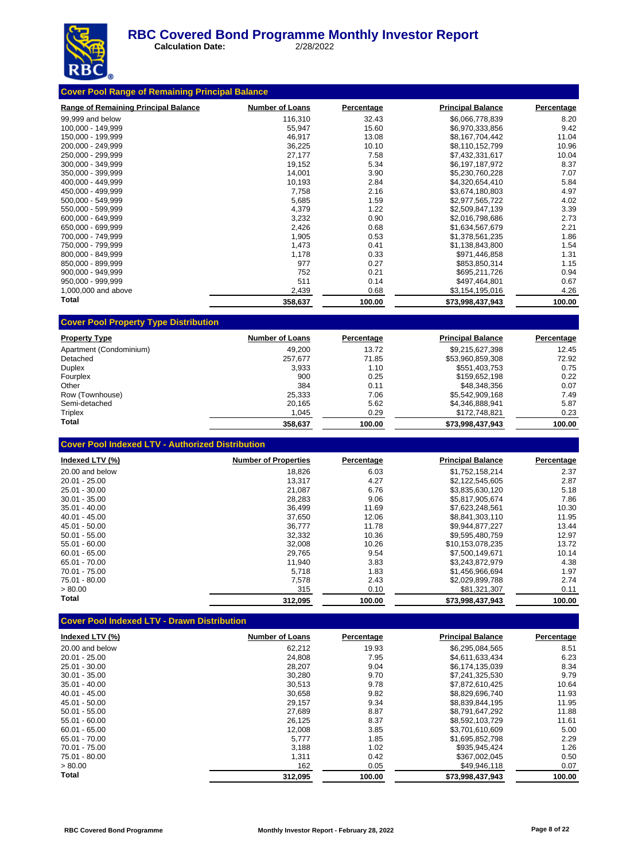

 **Calculation Date:** 2/28/2022

| <b>Range of Remaining Principal Balance</b> | <b>Number of Loans</b> | Percentage | <b>Principal Balance</b> | Percentage |
|---------------------------------------------|------------------------|------------|--------------------------|------------|
| 99,999 and below                            | 116,310                | 32.43      | \$6,066,778,839          | 8.20       |
| 100,000 - 149,999                           | 55,947                 | 15.60      | \$6,970,333,856          | 9.42       |
| 150,000 - 199,999                           | 46,917                 | 13.08      | \$8,167,704,442          | 11.04      |
| 200.000 - 249.999                           | 36,225                 | 10.10      | \$8,110,152,799          | 10.96      |
| 250,000 - 299,999                           | 27,177                 | 7.58       | \$7,432,331,617          | 10.04      |
| 300,000 - 349,999                           | 19,152                 | 5.34       | \$6,197,187,972          | 8.37       |
| 350,000 - 399,999                           | 14,001                 | 3.90       | \$5,230,760,228          | 7.07       |
| 400,000 - 449,999                           | 10,193                 | 2.84       | \$4,320,654,410          | 5.84       |
| 450,000 - 499,999                           | 7,758                  | 2.16       | \$3,674,180,803          | 4.97       |
| 500,000 - 549,999                           | 5,685                  | 1.59       | \$2,977,565,722          | 4.02       |
| 550.000 - 599.999                           | 4,379                  | 1.22       | \$2,509,847,139          | 3.39       |
| 600.000 - 649.999                           | 3,232                  | 0.90       | \$2,016,798,686          | 2.73       |
| 650,000 - 699,999                           | 2,426                  | 0.68       | \$1,634,567,679          | 2.21       |
| 700,000 - 749,999                           | 1,905                  | 0.53       | \$1,378,561,235          | 1.86       |
| 750,000 - 799,999                           | 1,473                  | 0.41       | \$1,138,843,800          | 1.54       |
| 800,000 - 849,999                           | 1,178                  | 0.33       | \$971,446,858            | 1.31       |
| 850,000 - 899,999                           | 977                    | 0.27       | \$853,850,314            | 1.15       |
| 900,000 - 949,999                           | 752                    | 0.21       | \$695,211,726            | 0.94       |
| 950,000 - 999,999                           | 511                    | 0.14       | \$497,464,801            | 0.67       |
| 1,000,000 and above                         | 2,439                  | 0.68       | \$3,154,195,016          | 4.26       |
| Total                                       | 358,637                | 100.00     | \$73,998,437,943         | 100.00     |

| <b>Property Type</b>    | <b>Number of Loans</b> | Percentage | <b>Principal Balance</b> | Percentage |
|-------------------------|------------------------|------------|--------------------------|------------|
| Apartment (Condominium) | 49.200                 | 13.72      | \$9,215,627,398          | 12.45      |
| Detached                | 257.677                | 71.85      | \$53,960,859,308         | 72.92      |
| Duplex                  | 3.933                  | 1.10       | \$551,403,753            | 0.75       |
| Fourplex                | 900                    | 0.25       | \$159.652.198            | 0.22       |
| Other                   | 384                    | 0.11       | \$48.348.356             | 0.07       |
| Row (Townhouse)         | 25.333                 | 7.06       | \$5,542,909,168          | 7.49       |
| Semi-detached           | 20.165                 | 5.62       | \$4.346.888.941          | 5.87       |
| Triplex                 | 1,045                  | 0.29       | \$172,748,821            | 0.23       |
| Total                   | 358.637                | 100.00     | \$73.998.437.943         | 100.00     |

|  | <b>Cover Pool Indexed LTV - Authorized Distribution</b> |
|--|---------------------------------------------------------|
|--|---------------------------------------------------------|

| Indexed LTV (%) | <b>Number of Properties</b> | Percentage | <b>Principal Balance</b> | Percentage |
|-----------------|-----------------------------|------------|--------------------------|------------|
| 20.00 and below | 18,826                      | 6.03       | \$1,752,158,214          | 2.37       |
| $20.01 - 25.00$ | 13.317                      | 4.27       | \$2,122,545,605          | 2.87       |
| 25.01 - 30.00   | 21.087                      | 6.76       | \$3,835,630,120          | 5.18       |
| $30.01 - 35.00$ | 28,283                      | 9.06       | \$5.817.905.674          | 7.86       |
| $35.01 - 40.00$ | 36,499                      | 11.69      | \$7,623,248,561          | 10.30      |
| $40.01 - 45.00$ | 37.650                      | 12.06      | \$8.841.303.110          | 11.95      |
| 45.01 - 50.00   | 36.777                      | 11.78      | \$9,944,877,227          | 13.44      |
| $50.01 - 55.00$ | 32,332                      | 10.36      | \$9.595.480.759          | 12.97      |
| $55.01 - 60.00$ | 32,008                      | 10.26      | \$10.153.078.235         | 13.72      |
| $60.01 - 65.00$ | 29,765                      | 9.54       | \$7.500.149.671          | 10.14      |
| 65.01 - 70.00   | 11,940                      | 3.83       | \$3,243,872,979          | 4.38       |
| $70.01 - 75.00$ | 5,718                       | 1.83       | \$1.456.966.694          | 1.97       |
| 75.01 - 80.00   | 7.578                       | 2.43       | \$2,029,899,788          | 2.74       |
| > 80.00         | 315                         | 0.10       | \$81,321,307             | 0.11       |
| Total           | 312,095                     | 100.00     | \$73,998,437,943         | 100.00     |

# **Cover Pool Indexed LTV - Drawn Distribution**

| Indexed LTV (%) | <b>Number of Loans</b> | Percentage | <b>Principal Balance</b> | Percentage |
|-----------------|------------------------|------------|--------------------------|------------|
| 20.00 and below | 62.212                 | 19.93      | \$6,295,084,565          | 8.51       |
| $20.01 - 25.00$ | 24,808                 | 7.95       | \$4,611,633,434          | 6.23       |
| 25.01 - 30.00   | 28,207                 | 9.04       | \$6,174,135,039          | 8.34       |
| $30.01 - 35.00$ | 30,280                 | 9.70       | \$7.241.325.530          | 9.79       |
| $35.01 - 40.00$ | 30,513                 | 9.78       | \$7.872.610.425          | 10.64      |
| $40.01 - 45.00$ | 30.658                 | 9.82       | \$8.829.696.740          | 11.93      |
| 45.01 - 50.00   | 29,157                 | 9.34       | \$8.839.844.195          | 11.95      |
| $50.01 - 55.00$ | 27,689                 | 8.87       | \$8.791.647.292          | 11.88      |
| $55.01 - 60.00$ | 26,125                 | 8.37       | \$8,592,103,729          | 11.61      |
| $60.01 - 65.00$ | 12,008                 | 3.85       | \$3.701.610.609          | 5.00       |
| 65.01 - 70.00   | 5.777                  | 1.85       | \$1.695.852.798          | 2.29       |
| 70.01 - 75.00   | 3,188                  | 1.02       | \$935,945,424            | 1.26       |
| 75.01 - 80.00   | 1,311                  | 0.42       | \$367.002.045            | 0.50       |
| > 80.00         | 162                    | 0.05       | \$49,946,118             | 0.07       |
| Total           | 312.095                | 100.00     | \$73,998,437,943         | 100.00     |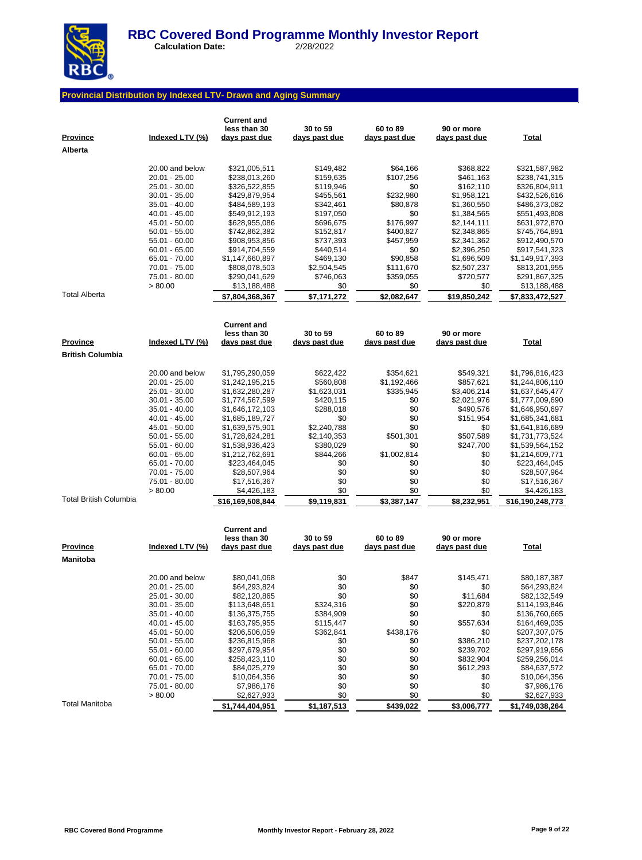

 **Calculation Date:** 2/28/2022

#### **Provincial Distribution by Indexed LTV- Drawn and Aging Summary**

| <b>Province</b><br>Alberta | Indexed LTV (%)                  | <b>Current and</b><br>less than 30<br>days past due | 30 to 59<br>days past due | 60 to 89<br>days past due | 90 or more<br>days past due | <b>Total</b>                       |
|----------------------------|----------------------------------|-----------------------------------------------------|---------------------------|---------------------------|-----------------------------|------------------------------------|
|                            | 20.00 and below                  |                                                     | \$149,482                 |                           |                             |                                    |
|                            | 20.01 - 25.00                    | \$321,005,511<br>\$238,013,260                      | \$159,635                 | \$64,166<br>\$107,256     | \$368,822<br>\$461,163      | \$321,587,982<br>\$238,741,315     |
|                            | 25.01 - 30.00                    | \$326,522,855                                       | \$119,946                 | \$0                       | \$162,110                   | \$326,804,911                      |
|                            | $30.01 - 35.00$                  | \$429,879,954                                       | \$455,561                 | \$232,980                 | \$1,958,121                 | \$432,526,616                      |
|                            | $35.01 - 40.00$                  | \$484,589,193                                       | \$342,461                 | \$80,878                  | \$1,360,550                 | \$486,373,082                      |
|                            | 40.01 - 45.00                    | \$549,912,193                                       | \$197,050                 | \$0                       | \$1,384,565                 | \$551,493,808                      |
|                            | 45.01 - 50.00                    | \$628,955,086                                       | \$696,675                 | \$176,997                 | \$2,144,111                 | \$631,972,870                      |
|                            | $50.01 - 55.00$                  | \$742,862,382                                       | \$152,817                 | \$400,827                 | \$2,348,865                 | \$745,764,891                      |
|                            | 55.01 - 60.00                    | \$908,953,856                                       | \$737,393                 | \$457,959                 | \$2,341,362                 | \$912,490,570                      |
|                            | $60.01 - 65.00$                  | \$914,704,559                                       | \$440,514                 | \$0                       | \$2,396,250                 | \$917,541,323                      |
|                            | 65.01 - 70.00                    | \$1,147,660,897                                     | \$469,130                 | \$90,858                  | \$1,696,509                 | \$1,149,917,393                    |
|                            | 70.01 - 75.00                    | \$808,078,503                                       | \$2,504,545               | \$111,670                 | \$2,507,237                 | \$813,201,955                      |
|                            | 75.01 - 80.00                    | \$290,041,629                                       | \$746,063                 | \$359,055                 | \$720,577                   | \$291,867,325                      |
|                            | > 80.00                          | \$13,188,488                                        | \$0                       | \$0                       | \$0                         | \$13,188,488                       |
| <b>Total Alberta</b>       |                                  | \$7,804,368,367                                     | \$7,171,272               | \$2,082,647               | \$19,850,242                | \$7,833,472,527                    |
|                            |                                  | <b>Current and</b>                                  |                           |                           |                             |                                    |
|                            |                                  | less than 30                                        | 30 to 59                  | 60 to 89                  | 90 or more                  |                                    |
| <b>Province</b>            | Indexed LTV (%)                  | <u>days past due</u>                                | days past due             | days past due             | <u>days past due</u>        | <u>Total</u>                       |
| <b>British Columbia</b>    |                                  |                                                     |                           |                           |                             |                                    |
|                            |                                  |                                                     |                           |                           |                             |                                    |
|                            | 20.00 and below                  | \$1,795,290,059                                     | \$622,422                 | \$354,621                 | \$549,321                   | \$1,796,816,423                    |
|                            | 20.01 - 25.00                    | \$1,242,195,215                                     | \$560,808                 | \$1,192,466               | \$857,621                   | \$1,244,806,110                    |
|                            | 25.01 - 30.00<br>$30.01 - 35.00$ | \$1,632,280,287<br>\$1,774,567,599                  | \$1,623,031<br>\$420,115  | \$335,945<br>\$0          | \$3,406,214<br>\$2,021,976  | \$1,637,645,477<br>\$1,777,009,690 |
|                            | $35.01 - 40.00$                  | \$1,646,172,103                                     | \$288,018                 | \$0                       | \$490,576                   | \$1,646,950,697                    |
|                            | 40.01 - 45.00                    | \$1,685,189,727                                     | \$0                       | \$0                       | \$151,954                   | \$1,685,341,681                    |
|                            | 45.01 - 50.00                    | \$1,639,575,901                                     | \$2,240,788               | \$0                       | \$0                         | \$1,641,816,689                    |
|                            | $50.01 - 55.00$                  | \$1,728,624,281                                     | \$2,140,353               | \$501,301                 | \$507,589                   | \$1,731,773,524                    |
|                            | 55.01 - 60.00                    | \$1,538,936,423                                     | \$380,029                 | \$0                       | \$247,700                   | \$1,539,564,152                    |
|                            | $60.01 - 65.00$                  | \$1,212,762,691                                     | \$844,266                 | \$1,002,814               | \$0                         | \$1,214,609,771                    |
|                            | 65.01 - 70.00                    | \$223,464,045                                       | \$0                       | \$0                       | \$0                         | \$223,464,045                      |
|                            | 70.01 - 75.00                    | \$28,507,964                                        | \$0                       | \$0                       | \$0                         | \$28,507,964                       |
|                            | 75.01 - 80.00                    | \$17,516,367                                        | \$0                       | \$0                       | \$0                         | \$17,516,367                       |
|                            | > 80.00                          | \$4,426,183                                         | \$0                       | \$0                       | \$0                         | \$4,426,183                        |
| Total British Columbia     |                                  | \$16,169,508,844                                    | \$9,119,831               | \$3,387,147               | \$8,232,951                 | \$16,190,248,773                   |
|                            |                                  | <b>Current and</b>                                  |                           |                           |                             |                                    |
|                            |                                  | less than 30                                        | 30 to 59                  | 60 to 89                  | 90 or more                  |                                    |
| <u>Province</u>            | Indexed LTV (%)                  | <u>days past due</u>                                | days past due             | days past due             | days past due               | <b>Total</b>                       |
| Manitoba                   |                                  |                                                     |                           |                           |                             |                                    |
|                            |                                  |                                                     |                           |                           | \$145.471                   |                                    |
|                            | 20.00 and below<br>20.01 - 25.00 | \$80,041,068<br>\$64,293,824                        | \$0<br>\$0                | \$847<br>\$0              | \$0                         | \$80,187,387<br>\$64,293,824       |
|                            | 25.01 - 30.00                    | \$82,120,865                                        | \$0                       | \$0                       | \$11,684                    | \$82,132,549                       |
|                            | $30.01 - 35.00$                  | \$113,648,651                                       | \$324,316                 | \$0                       | \$220,879                   | \$114,193,846                      |
|                            | $35.01 - 40.00$                  | \$136,375,755                                       | \$384,909                 | \$0                       | \$0                         | \$136,760,665                      |
|                            | 40.01 - 45.00                    | \$163,795,955                                       | \$115,447                 | \$0                       | \$557,634                   | \$164,469,035                      |
|                            | 45.01 - 50.00                    | \$206,506,059                                       | \$362,841                 | \$438,176                 | \$0                         | \$207,307,075                      |
|                            | $50.01 - 55.00$                  | \$236,815,968                                       | \$0                       | \$0                       | \$386,210                   | \$237,202,178                      |
|                            | 55.01 - 60.00                    | \$297,679,954                                       | \$0                       | \$0                       | \$239,702                   | \$297,919,656                      |
|                            | $60.01 - 65.00$                  | \$258,423,110                                       | \$0                       | \$0                       | \$832,904                   | \$259,256,014                      |
|                            | 65.01 - 70.00                    | \$84,025,279                                        | \$0                       | \$0                       | \$612,293                   | \$84,637,572                       |
|                            | 70.01 - 75.00                    | \$10,064,356                                        | \$0                       | \$0                       | \$0                         | \$10,064,356                       |
|                            | 75.01 - 80.00                    | \$7,986,176                                         | \$0                       | \$0                       | \$0                         | \$7,986,176                        |
|                            | > 80.00                          | \$2,627,933                                         | \$0                       | \$0                       | \$0                         | \$2,627,933                        |
| Total Manitoba             |                                  | \$1,744,404,951                                     | \$1,187,513               | \$439,022                 | \$3,006,777                 | \$1,749,038,264                    |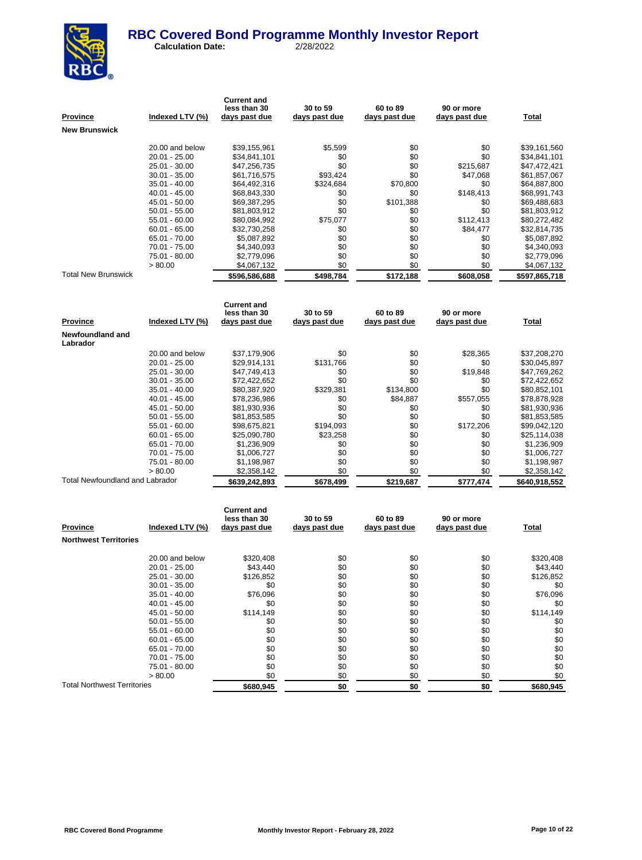

 **Calculation Date:** 2/28/2022

| <u>Province</u>                 | Indexed LTV (%) | <b>Current and</b><br>less than 30<br><u>days past due</u> | 30 to 59<br>days past due | 60 to 89<br>days past due | 90 or more<br>days past due | <b>Total</b>  |
|---------------------------------|-----------------|------------------------------------------------------------|---------------------------|---------------------------|-----------------------------|---------------|
| New Brunswick                   |                 |                                                            |                           |                           |                             |               |
|                                 |                 |                                                            |                           |                           |                             |               |
|                                 | 20.00 and below | \$39,155,961                                               | \$5,599                   | \$0                       | \$0                         | \$39,161,560  |
|                                 | 20.01 - 25.00   | \$34,841,101                                               | \$0                       | \$0                       | \$0                         | \$34,841,101  |
|                                 | 25.01 - 30.00   | \$47,256,735                                               | \$0                       | \$0                       | \$215,687                   | \$47,472,421  |
|                                 | $30.01 - 35.00$ | \$61,716,575                                               | \$93,424                  | \$0                       | \$47,068                    | \$61,857,067  |
|                                 | 35.01 - 40.00   | \$64,492,316                                               | \$324,684                 | \$70.800                  | \$0                         | \$64,887,800  |
|                                 | 40.01 - 45.00   | \$68,843,330                                               | \$0                       | \$0                       | \$148,413                   | \$68,991,743  |
|                                 | 45.01 - 50.00   | \$69,387,295                                               | \$0                       | \$101,388                 | \$0                         | \$69,488,683  |
|                                 | 50.01 - 55.00   | \$81,803,912                                               | \$0                       | \$0                       | \$0                         | \$81,803,912  |
|                                 | 55.01 - 60.00   | \$80,084,992                                               | \$75,077                  | \$0                       | \$112,413                   | \$80,272,482  |
|                                 | $60.01 - 65.00$ | \$32,730,258                                               | \$0                       | \$0                       | \$84,477                    | \$32,814,735  |
|                                 | 65.01 - 70.00   | \$5,087,892                                                | \$0                       | \$0                       | \$0                         | \$5,087,892   |
|                                 | 70.01 - 75.00   | \$4,340,093                                                | \$0                       | \$0                       | \$0                         | \$4,340,093   |
|                                 | 75.01 - 80.00   | \$2,779,096                                                | \$0                       | \$0                       | \$0                         | \$2,779,096   |
|                                 | > 80.00         | \$4,067,132                                                | \$0                       | \$0                       | \$0                         | \$4,067,132   |
| Total New Brunswick             |                 | \$596,586,688                                              | \$498,784                 | \$172,188                 | \$608,058                   | \$597,865,718 |
|                                 |                 |                                                            |                           |                           |                             |               |
|                                 |                 |                                                            |                           |                           |                             |               |
|                                 |                 | <b>Current and</b><br>less than 30                         | 30 to 59                  | 60 to 89                  | 90 or more                  |               |
| Province                        | Indexed LTV (%) | days past due                                              | days past due             | days past due             | days past due               | Total         |
|                                 |                 |                                                            |                           |                           |                             |               |
| Newfoundland and<br>Labrador    |                 |                                                            |                           |                           |                             |               |
|                                 | 20.00 and below | \$37,179,906                                               | \$0                       | \$0                       | \$28,365                    | \$37,208,270  |
|                                 | 20.01 - 25.00   | \$29,914,131                                               | \$131,766                 | \$0                       | \$0                         | \$30,045,897  |
|                                 | 25.01 - 30.00   | \$47,749,413                                               | \$0                       | \$0                       | \$19,848                    | \$47,769,262  |
|                                 | $30.01 - 35.00$ | \$72,422,652                                               | \$0                       | \$0                       | \$0                         | \$72,422,652  |
|                                 | 35.01 - 40.00   | \$80,387,920                                               | \$329,381                 | \$134,800                 | \$0                         | \$80,852,101  |
|                                 | 40.01 - 45.00   | \$78,236,986                                               | \$0                       | \$84,887                  | \$557,055                   | \$78,878,928  |
|                                 | 45.01 - 50.00   | \$81,930,936                                               | \$0                       | \$0                       | \$0                         | \$81,930,936  |
|                                 | $50.01 - 55.00$ | \$81,853,585                                               | \$0                       | \$0                       | \$0                         | \$81,853,585  |
|                                 | 55.01 - 60.00   | \$98,675,821                                               | \$194,093                 | \$0                       | \$172,206                   | \$99,042,120  |
|                                 | $60.01 - 65.00$ | \$25,090,780                                               | \$23,258                  | \$0                       | \$0                         | \$25,114,038  |
|                                 | 65.01 - 70.00   | \$1,236,909                                                | \$0                       | \$0                       | \$0                         | \$1,236,909   |
|                                 | 70.01 - 75.00   | \$1,006,727                                                | \$0                       | \$0                       | \$0                         | \$1,006,727   |
|                                 | 75.01 - 80.00   | \$1,198,987                                                | \$0                       | \$0                       | \$0                         | \$1,198,987   |
|                                 | > 80.00         | \$2,358,142                                                | \$0                       | \$0                       | \$0                         | \$2,358,142   |
| Total Newfoundland and Labrador |                 | \$639,242,893                                              | \$678,499                 | \$219,687                 | \$777,474                   | \$640,918,552 |
|                                 |                 |                                                            |                           |                           |                             |               |
|                                 |                 | <b>Current and</b>                                         |                           |                           |                             |               |
|                                 |                 | less than 30                                               | 30 to 59                  | 60 to 89                  | 90 or more                  |               |
| Province                        | Indexed LTV (%) | days past due                                              | days past due             | days past due             | days past due               | Total         |
| <b>Northwest Territories</b>    |                 |                                                            |                           |                           |                             |               |
|                                 | 20.00 and below | \$320,408                                                  | \$0                       | \$0                       | \$0                         | \$320,408     |
|                                 | 20.01 - 25.00   | \$43,440                                                   | \$0                       | \$0                       | \$0                         | \$43,440      |
|                                 |                 |                                                            |                           |                           |                             |               |

25.01 - 30.00 \$126,852 \$0 \$0 \$0 \$126,852  $\begin{array}{cccccccc} 30.01 & -35.00 && 0.01 & -35.00 && 0.01 & -35.00 && 0.01 & -35.00 && 0.01 & -35.00 & 0.01 & -35.00 & 0.01 & -35.00 & 0.01 & -35.00 & 0.01 & -35.00 & 0.01 & 0.01 & -35.00 & 0.01 & 0.01 & -35.00 & 0.01 & 0.01 & -35.00 & 0.01 & 0.01 & -35.00 & 0.01 & 0.01 & -35.00$ 35.01 - 40.00 \$76,096 \$0 \$0 \$0 \$76,096 40.01 - 45.00 \$0 \$0 \$0 \$0 \$0 45.01 - 50.00 \$114,149 \$0 \$0 \$0 \$114,149  $50.01 - 55.00$ <br>  $50.01 - 55.00$ <br>  $50.01 - 55.00$ <br>  $50.01 - 55.00$ <br>  $50.00 - 50.00$ <br>  $50.00 - 50.00$ <br>  $50.00 - 50.00$  $\begin{array}{cccccccccccc} 55.01 & - & 60.00 & & & 0.00 & & & 0.00 & & & 0.00 & & & 0.00 & & & 0.00 & & & 0.00 & & 0.00 & & 0.00 & & 0.00 & & 0.00 & & 0.00 & & 0.00 & & 0.00 & & 0.00 & & 0.00 & & 0.00 & & 0.00 & & 0.00 & & 0.00 & & 0.00 & & 0.00 & & 0.00 & & 0.00 & & 0.00 & & 0.00 & & 0.00 & & 0.00 &$ 60.01 - 65.00 \$0 \$0 \$0 \$0 \$0 65.01 - 70.00 \$0 \$0 \$0 \$0 \$0 70.01 - 75.00 \$0 \$0 \$0 \$0 \$0 75.01 - 80.00 \$0 \$0 \$0 \$0 \$0  $> 80.00$  \$0 \$0 \$0 \$0 \$0 \$0 \$0 \$0 \$0 Total Northwest Territories **\$680,945 \$680,945 \$0 \$0 \$0 \$0 \$0 \$680,945**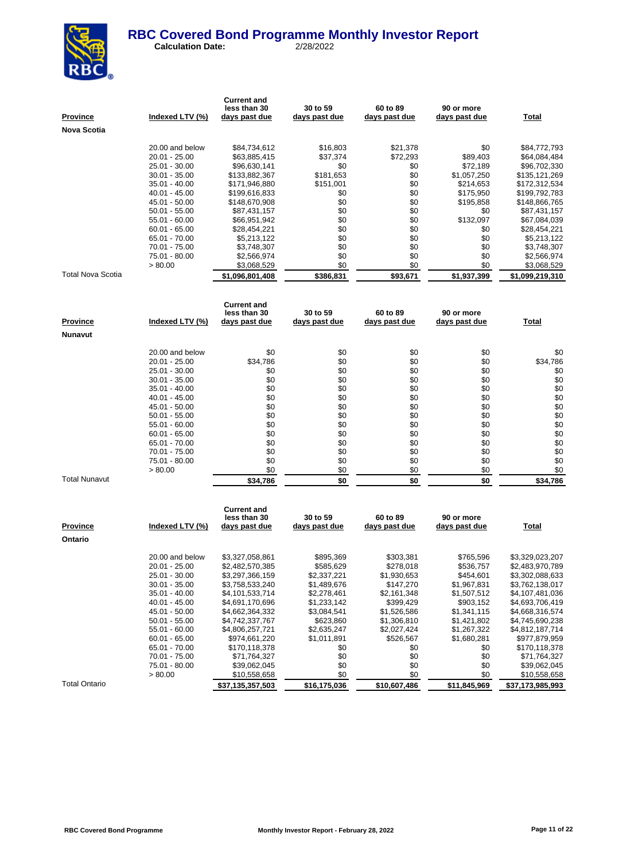

 **Calculation Date:** 2/28/2022

| <u>Province</u>      | <u>Indexed LTV (%)</u>             | <b>Current and</b><br>less than 30<br><u>days past due</u> | 30 to 59<br>days past due        | 60 to 89<br><u>days past due</u> | 90 or more<br>days past due | <u>Total</u>                       |
|----------------------|------------------------------------|------------------------------------------------------------|----------------------------------|----------------------------------|-----------------------------|------------------------------------|
| Nova Scotia          |                                    |                                                            |                                  |                                  |                             |                                    |
|                      | 20.00 and below                    | \$84,734,612                                               | \$16,803                         | \$21,378                         | \$0                         | \$84,772,793                       |
|                      | 20.01 - 25.00                      | \$63,885,415                                               | \$37,374                         | \$72,293                         | \$89,403                    | \$64,084,484                       |
|                      | 25.01 - 30.00                      | \$96,630,141                                               | \$0                              | \$0                              | \$72,189                    | \$96,702,330                       |
|                      | 30.01 - 35.00                      | \$133,882,367                                              | \$181,653                        | \$0                              | \$1,057,250                 | \$135,121,269                      |
|                      | 35.01 - 40.00                      | \$171,946,880                                              | \$151,001                        | \$0                              | \$214,653                   | \$172,312,534                      |
|                      | 40.01 - 45.00                      | \$199,616,833                                              | \$0                              | \$0                              | \$175,950                   | \$199,792,783                      |
|                      | 45.01 - 50.00                      | \$148,670,908                                              | \$0                              | \$0                              | \$195,858                   | \$148,866,765                      |
|                      | 50.01 - 55.00                      | \$87,431,157                                               | \$0                              | \$0                              | \$0                         | \$87,431,157                       |
|                      | 55.01 - 60.00                      | \$66,951,942                                               | \$0                              | \$0                              | \$132,097                   | \$67,084,039                       |
|                      | $60.01 - 65.00$                    | \$28,454,221                                               | \$0                              | \$0                              | \$0                         | \$28,454,221                       |
|                      | 65.01 - 70.00                      | \$5,213,122                                                | \$0                              | \$0                              | \$0                         | \$5,213,122                        |
|                      | 70.01 - 75.00                      | \$3,748,307                                                | \$0                              | \$0                              | \$0                         | \$3,748,307                        |
|                      | 75.01 - 80.00                      | \$2,566,974                                                | \$0                              | \$0                              | \$0                         | \$2,566,974                        |
| Total Nova Scotia    | > 80.00                            | \$3,068,529<br>\$1,096,801,408                             | \$0<br>\$386,831                 | \$0<br>\$93,671                  | \$0<br>\$1,937,399          | \$3,068,529<br>\$1,099,219,310     |
|                      |                                    |                                                            |                                  |                                  |                             |                                    |
|                      |                                    | <b>Current and</b>                                         |                                  |                                  |                             |                                    |
| <u>Province</u>      | <u>Indexed LTV (%)</u>             | less than 30<br><u>days past due</u>                       | 30 to 59<br><u>days past due</u> | 60 to 89<br><u>days past due</u> | 90 or more<br>days past due | <b>Total</b>                       |
| Nunavut              |                                    |                                                            |                                  |                                  |                             |                                    |
|                      |                                    |                                                            |                                  |                                  |                             |                                    |
|                      | 20.00 and below                    | \$0                                                        | \$0                              | \$0                              | \$0                         | \$0                                |
|                      | 20.01 - 25.00                      | \$34,786                                                   | \$0                              | \$0                              | \$0                         | \$34,786                           |
|                      | 25.01 - 30.00                      | \$0<br>\$0                                                 | \$0<br>\$0                       | \$0<br>\$0                       | \$0<br>\$0                  | \$0<br>\$0                         |
|                      | 30.01 - 35.00<br>35.01 - 40.00     | \$0                                                        | \$0                              | \$0                              | \$0                         | \$0                                |
|                      | 40.01 - 45.00                      | \$0                                                        | \$0                              | \$0                              | \$0                         | \$0                                |
|                      | 45.01 - 50.00                      | \$0                                                        | \$0                              | \$0                              | \$0                         | \$0                                |
|                      | $50.01 - 55.00$                    | \$0                                                        | \$0                              | \$0                              | \$0                         | \$0                                |
|                      | 55.01 - 60.00                      | \$0                                                        | \$0                              | \$0                              | \$0                         | \$0                                |
|                      | $60.01 - 65.00$                    | \$0                                                        | \$0                              | \$0                              | \$0                         | \$0                                |
|                      | 65.01 - 70.00                      | \$0                                                        | \$0                              | \$0                              | \$0                         | \$0                                |
|                      | 70.01 - 75.00                      | \$0                                                        | \$0                              | \$0                              | \$0                         | \$0                                |
|                      | 75.01 - 80.00                      | \$0                                                        | \$0                              | \$0                              | \$0                         | \$0                                |
| <b>Total Nunavut</b> | > 80.00                            | \$0<br>\$34,786                                            | \$0<br>\$0                       | \$0<br>\$0                       | \$0<br>\$0                  | \$0<br>\$34,786                    |
|                      |                                    |                                                            |                                  |                                  |                             |                                    |
|                      |                                    | <b>Current and</b>                                         |                                  |                                  |                             |                                    |
|                      |                                    | less than 30                                               | 30 to 59                         | 60 to 89                         | 90 or more                  |                                    |
| Province             | Indexed LTV (%)                    | days past due                                              | days past due                    | days past due                    | days past due               | Total                              |
| Ontario              |                                    |                                                            |                                  |                                  |                             |                                    |
|                      | 20.00 and below                    | \$3,327,058,861                                            | \$895,369                        | \$303,381                        | \$765,596                   | \$3,329,023,207                    |
|                      | 20.01 - 25.00                      | \$2,482,570,385                                            | \$585,629                        | \$278,018                        | \$536,757                   | \$2,483,970,789                    |
|                      | 25.01 - 30.00                      | \$3,297,366,159                                            | \$2,337,221                      | \$1,930,653                      | \$454,601                   | \$3,302,088,633                    |
|                      | 30.01 - 35.00                      | \$3,758,533,240                                            | \$1,489,676                      | \$147,270                        | \$1,967,831                 | \$3,762,138,017                    |
|                      | 35.01 - 40.00                      | \$4,101,533,714                                            | \$2,278,461                      | \$2,161,348                      | \$1,507,512                 | \$4,107,481,036                    |
|                      | $40.01 - 45.00$                    | \$4,691,170,696                                            | \$1,233,142                      | \$399,429                        | \$903,152                   | \$4,693,706,419                    |
|                      | 45.01 - 50.00                      | \$4,662,364,332                                            | \$3,084,541                      | \$1,526,586<br>\$1,306,810       | \$1,341,115<br>\$1,421,802  | \$4,668,316,574<br>\$4,745,690,238 |
|                      | $50.01 - 55.00$<br>$55.01 - 60.00$ | \$4,742,337,767<br>\$4,806,257,721                         | \$623,860<br>\$2,635,247         | \$2,027,424                      | \$1,267,322                 | \$4,812,187,714                    |
|                      | $60.01 - 65.00$                    | \$974,661,220                                              | \$1,011,891                      | \$526,567                        | \$1,680,281                 | \$977,879,959                      |
|                      | 65.01 - 70.00                      | \$170,118,378                                              | \$0                              | \$0                              | \$0                         | \$170,118,378                      |
|                      | 70.01 - 75.00                      | \$71,764,327                                               | \$0                              | \$0                              | \$0                         | \$71,764,327                       |
|                      | 75.01 - 80.00                      | \$39,062,045                                               | \$0                              | \$0                              | \$0                         | \$39,062,045                       |
|                      | > 80.00                            | \$10,558,658                                               | \$0                              | \$0                              | \$0                         | \$10,558,658                       |

Total Ontario **1986,000 <b>\$37,135,357,503 \$16,175,036 \$10,607,486 \$11,845,969** \$37,173,985,993

 $\frac{$10,558,658}{10,558,658}$   $\frac{$0}{$16,175,036}$   $\frac{$0}{$10,607,486}$   $\frac{$0}{$11,845,969}$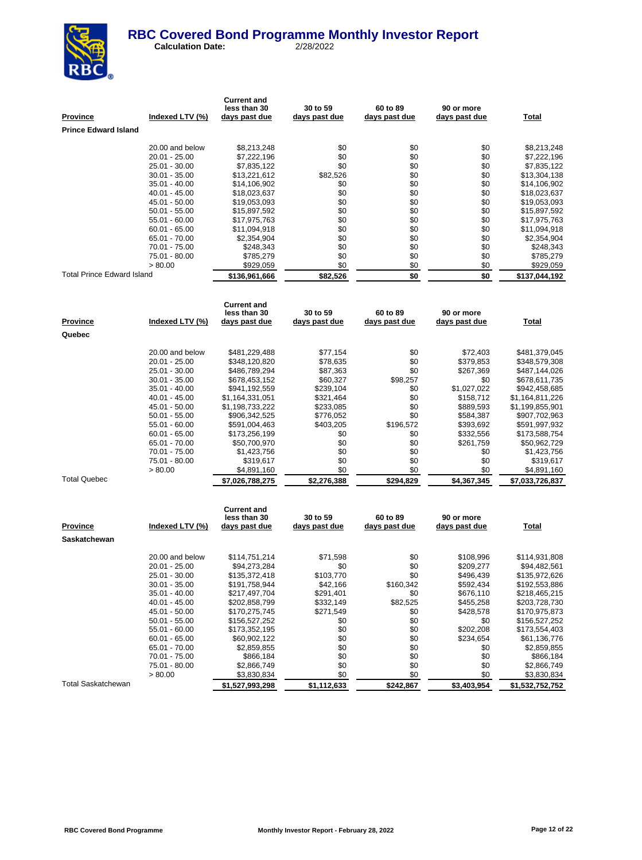

 **Calculation Date:** 2/28/2022

|                            |                          | <b>Current and</b>             |                           |                           |                             |                 |
|----------------------------|--------------------------|--------------------------------|---------------------------|---------------------------|-----------------------------|-----------------|
|                            |                          | less than 30                   | 30 to 59                  | 60 to 89                  | 90 or more                  |                 |
| <b>Province</b>            | Indexed LTV (%)          | <u>days past due</u>           | <u>days past due</u>      | days past due             | <u>days past due</u>        | <b>Total</b>    |
| Prince Edward Island       |                          |                                |                           |                           |                             |                 |
|                            | 20.00 and below          | \$8,213,248                    | \$0                       | \$0                       | \$0                         | \$8,213,248     |
|                            | 20.01 - 25.00            | \$7,222,196                    | \$0                       | \$0                       | \$0                         | \$7,222,196     |
|                            | 25.01 - 30.00            | \$7,835,122                    | \$0                       | \$0                       | \$0                         | \$7,835,122     |
|                            | 30.01 - 35.00            | \$13,221,612                   | \$82,526                  | \$0                       | \$0                         | \$13,304,138    |
|                            | 35.01 - 40.00            | \$14,106,902                   | \$0                       | \$0                       | \$0                         | \$14,106,902    |
|                            | 40.01 - 45.00            | \$18,023,637                   | \$0                       | \$0                       | \$0                         | \$18,023,637    |
|                            | 45.01 - 50.00            | \$19,053,093                   | \$0                       | \$0                       | \$0                         | \$19,053,093    |
|                            | 50.01 - 55.00            | \$15,897,592                   | \$0                       | \$0                       | \$0                         | \$15,897,592    |
|                            | 55.01 - 60.00            | \$17,975,763                   | \$0                       | \$0                       | \$0                         | \$17,975,763    |
|                            | 60.01 - 65.00            | \$11,094,918                   | \$0                       | \$0                       | \$0                         | \$11,094,918    |
|                            | 65.01 - 70.00            | \$2,354,904                    | \$0                       | \$0                       | \$0                         | \$2,354,904     |
|                            | 70.01 - 75.00            | \$248,343                      | \$0                       | \$0                       | \$0                         | \$248,343       |
|                            | 75.01 - 80.00            | \$785,279                      | \$0                       | \$0                       | \$0                         | \$785,279       |
|                            | > 80.00                  | \$929,059                      | \$0                       | \$0                       | \$0                         | \$929,059       |
| Total Prince Edward Island |                          | \$136,961,666                  | \$82,526                  | \$0                       | \$0                         | \$137,044,192   |
|                            |                          |                                |                           |                           |                             |                 |
|                            |                          | <b>Current and</b>             |                           |                           |                             |                 |
|                            |                          | less than 30                   | 30 to 59                  | 60 to 89                  | 90 or more                  |                 |
| <u>Province</u>            | Indexed LTV (%)          | <u>days past due</u>           | <u>days past due</u>      | days past due             | days past due               | <b>Total</b>    |
| Quebec                     |                          |                                |                           |                           |                             |                 |
|                            |                          |                                |                           |                           |                             |                 |
|                            | 20.00 and below          | \$481,229,488                  | \$77,154                  | \$0                       | \$72,403                    | \$481,379,045   |
|                            | 20.01 - 25.00            | \$348,120,820                  | \$78,635                  | \$0                       | \$379,853                   | \$348,579,308   |
|                            | 25.01 - 30.00            | \$486,789,294                  | \$87,363                  | \$0                       | \$267,369                   | \$487,144,026   |
|                            | 30.01 - 35.00            | \$678,453,152                  | \$60,327                  | \$98,257                  | \$0                         | \$678,611,735   |
|                            | 35.01 - 40.00            | \$941,192,559                  | \$239,104                 | \$0                       | \$1,027,022                 | \$942,458,685   |
|                            | 40.01 - 45.00            | \$1,164,331,051                | \$321,464                 | \$0                       | \$158,712                   | \$1,164,811,226 |
|                            | 45.01 - 50.00            | \$1,198,733,222                | \$233,085                 | \$0                       | \$889,593                   | \$1,199,855,901 |
|                            | 50.01 - 55.00            | \$906,342,525                  | \$776,052                 | \$0                       | \$584,387                   | \$907,702,963   |
|                            | 55.01 - 60.00            | \$591,004,463                  | \$403,205                 | \$196,572                 | \$393,692                   | \$591,997,932   |
|                            | 60.01 - 65.00            | \$173,256,199                  | \$0                       | \$0                       | \$332,556                   | \$173,588,754   |
|                            | 65.01 - 70.00            | \$50,700,970                   | \$0                       | \$0                       | \$261,759                   | \$50,962,729    |
|                            | 70.01 - 75.00            | \$1,423,756                    | \$0<br>\$0                | \$0<br>\$0                | \$0                         | \$1,423,756     |
|                            | 75.01 - 80.00<br>> 80.00 | \$319,617                      | \$0                       | \$0                       | \$0<br>\$0                  | \$319,617       |
| <b>Total Quebec</b>        |                          | \$4,891,160<br>\$7,026,788,275 | \$2,276,388               | \$294,829                 |                             | \$4,891,160     |
|                            |                          |                                |                           |                           | \$4,367,345                 | \$7,033,726,837 |
|                            |                          |                                |                           |                           |                             |                 |
|                            |                          | <b>Current and</b>             |                           |                           |                             |                 |
| Province                   | Indexed LTV (%)          | less than 30<br>days past due  | 30 to 59<br>days past due | 60 to 89<br>days past due | 90 or more<br>days past due | Total           |
| Saskatchewan               |                          |                                |                           |                           |                             |                 |
|                            |                          |                                |                           |                           |                             |                 |
|                            | 20.00 and below          | \$114,751,214                  | \$71,598                  | \$0                       | \$108,996                   | \$114,931,808   |
|                            | 20.01 - 25.00            | \$94,273,284                   | \$0                       | \$0                       | \$209,277                   | \$94,482,561    |
|                            | 25.01 - 30.00            | \$135,372,418                  | \$103,770                 | \$0                       | \$496,439                   | \$135,972,626   |
|                            | 30.01 - 35.00            | \$191,758,944                  | \$42,166                  | \$160,342                 | \$592,434                   | \$192,553,886   |
|                            | 35.01 - 40.00            | \$217,497,704                  | \$291,401                 | \$0                       | \$676,110                   | \$218,465,215   |
|                            | 40.01 - 45.00            | \$202,858,799                  | \$332,149                 | \$82,525                  | \$455,258                   | \$203,728,730   |
|                            | 45.01 - 50.00            | \$170,275,745                  | \$271,549                 | \$0                       | \$428,578                   | \$170,975,873   |
|                            | $50.01 - 55.00$          | \$156,527,252                  | \$0                       | \$0                       | \$0                         | \$156,527,252   |
|                            | $55.01 - 60.00$          | \$173,352,195                  | \$0                       | \$0                       | \$202,208                   | \$173,554,403   |
|                            | $60.01 - 65.00$          | \$60,902,122                   | \$0                       | \$0                       | \$234,654                   | \$61,136,776    |
|                            | 65.01 - 70.00            | \$2,859,855                    | \$0                       | \$0                       | \$0                         | \$2,859,855     |
|                            | 70.01 - 75.00            | \$866,184                      | \$0                       | \$0                       | \$0                         | \$866,184       |
|                            | 75.01 - 80.00            | \$2,866,749                    | \$0                       | \$0                       | \$0                         | \$2,866,749     |
|                            | > 80.00                  | \$3,830,834                    | \$0                       | \$0                       | \$0                         | \$3,830,834     |

Total Saskatchewan **\$1,527,993,298 \$1,112,633 \$242,867 \$3,403,954 \$1,532,752,752**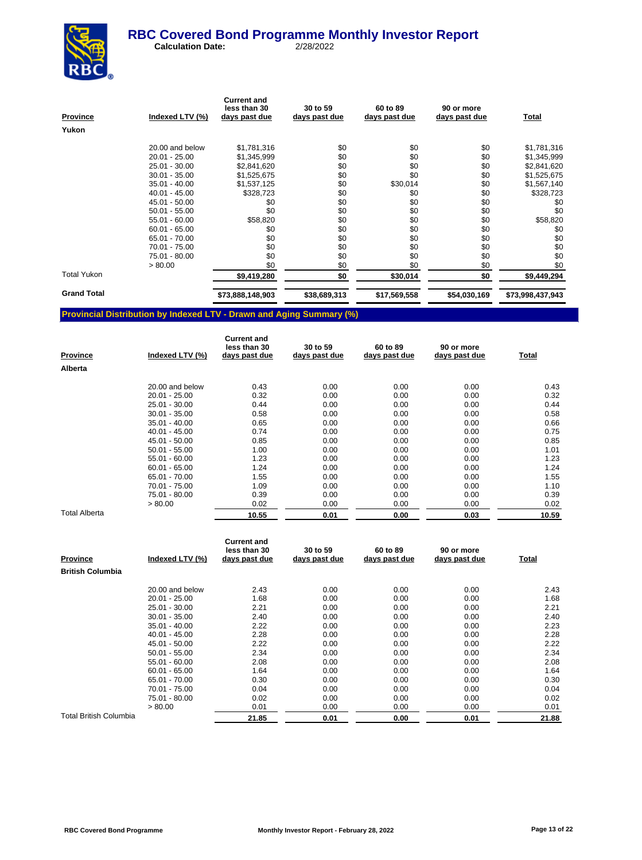

 **Calculation Date:** 2/28/2022

| <b>Province</b>    | Indexed LTV (%) | <b>Current and</b><br>less than 30<br>days past due | 30 to 59<br>days past due | 60 to 89<br>days past due | 90 or more<br>days past due | <b>Total</b>     |
|--------------------|-----------------|-----------------------------------------------------|---------------------------|---------------------------|-----------------------------|------------------|
| Yukon              |                 |                                                     |                           |                           |                             |                  |
|                    | 20.00 and below | \$1,781,316                                         | \$0                       | \$0                       | \$0                         | \$1,781,316      |
|                    | $20.01 - 25.00$ | \$1,345,999                                         | \$0                       | \$0                       | \$0                         | \$1,345,999      |
|                    | 25.01 - 30.00   | \$2,841,620                                         | \$0                       | \$0                       | \$0                         | \$2,841,620      |
|                    | $30.01 - 35.00$ | \$1,525,675                                         | \$0                       | \$0                       | \$0                         | \$1,525,675      |
|                    | $35.01 - 40.00$ | \$1,537,125                                         | \$0                       | \$30,014                  | \$0                         | \$1,567,140      |
|                    | 40.01 - 45.00   | \$328,723                                           | \$0                       | \$0                       | \$0                         | \$328,723        |
|                    | 45.01 - 50.00   | \$0                                                 | \$0                       | \$0                       | \$0                         | \$0              |
|                    | $50.01 - 55.00$ | \$0                                                 | \$0                       | \$0                       | \$0                         | \$0              |
|                    | $55.01 - 60.00$ | \$58,820                                            | \$0                       | \$0                       | \$0                         | \$58,820         |
|                    | $60.01 - 65.00$ | \$0                                                 | \$0                       | \$0                       | \$0                         | \$0              |
|                    | 65.01 - 70.00   | \$0                                                 | \$0                       | \$0                       | \$0                         | \$0              |
|                    | 70.01 - 75.00   | \$0                                                 | \$0                       | \$0                       | \$0                         | \$0              |
|                    | 75.01 - 80.00   | \$0                                                 | \$0                       | \$0                       | \$0                         | \$0              |
|                    | > 80.00         | \$0                                                 | \$0                       | \$0                       | \$0                         | \$0              |
| <b>Total Yukon</b> |                 | \$9,419,280                                         | \$0                       | \$30,014                  | \$0                         | \$9,449,294      |
| <b>Grand Total</b> |                 | \$73,888,148,903                                    | \$38,689,313              | \$17,569,558              | \$54,030,169                | \$73,998,437,943 |

# **Provincial Distribution by Indexed LTV - Drawn and Aging Summary (%)**

| <b>Province</b>      | Indexed LTV (%) | <b>Current and</b><br>less than 30<br>days past due | 30 to 59<br>days past due | 60 to 89<br>days past due | 90 or more<br>days past due | Total |
|----------------------|-----------------|-----------------------------------------------------|---------------------------|---------------------------|-----------------------------|-------|
| Alberta              |                 |                                                     |                           |                           |                             |       |
|                      | 20.00 and below | 0.43                                                | 0.00                      | 0.00                      | 0.00                        | 0.43  |
|                      | $20.01 - 25.00$ | 0.32                                                | 0.00                      | 0.00                      | 0.00                        | 0.32  |
|                      | 25.01 - 30.00   | 0.44                                                | 0.00                      | 0.00                      | 0.00                        | 0.44  |
|                      | $30.01 - 35.00$ | 0.58                                                | 0.00                      | 0.00                      | 0.00                        | 0.58  |
|                      | $35.01 - 40.00$ | 0.65                                                | 0.00                      | 0.00                      | 0.00                        | 0.66  |
|                      | $40.01 - 45.00$ | 0.74                                                | 0.00                      | 0.00                      | 0.00                        | 0.75  |
|                      | 45.01 - 50.00   | 0.85                                                | 0.00                      | 0.00                      | 0.00                        | 0.85  |
|                      | $50.01 - 55.00$ | 1.00                                                | 0.00                      | 0.00                      | 0.00                        | 1.01  |
|                      | $55.01 - 60.00$ | 1.23                                                | 0.00                      | 0.00                      | 0.00                        | 1.23  |
|                      | $60.01 - 65.00$ | 1.24                                                | 0.00                      | 0.00                      | 0.00                        | 1.24  |
|                      | 65.01 - 70.00   | 1.55                                                | 0.00                      | 0.00                      | 0.00                        | 1.55  |
|                      | 70.01 - 75.00   | 1.09                                                | 0.00                      | 0.00                      | 0.00                        | 1.10  |
|                      | 75.01 - 80.00   | 0.39                                                | 0.00                      | 0.00                      | 0.00                        | 0.39  |
|                      | > 80.00         | 0.02                                                | 0.00                      | 0.00                      | 0.00                        | 0.02  |
| <b>Total Alberta</b> |                 | 10.55                                               | 0.01                      | 0.00                      | 0.03                        | 10.59 |

| <b>Province</b>               | Indexed LTV (%) | <b>Current and</b><br>less than 30<br>days past due | 30 to 59<br>days past due | 60 to 89<br>days past due | 90 or more<br>days past due | Total |
|-------------------------------|-----------------|-----------------------------------------------------|---------------------------|---------------------------|-----------------------------|-------|
| <b>British Columbia</b>       |                 |                                                     |                           |                           |                             |       |
|                               | 20.00 and below | 2.43                                                | 0.00                      | 0.00                      | 0.00                        | 2.43  |
|                               | $20.01 - 25.00$ | 1.68                                                | 0.00                      | 0.00                      | 0.00                        | 1.68  |
|                               | 25.01 - 30.00   | 2.21                                                | 0.00                      | 0.00                      | 0.00                        | 2.21  |
|                               | $30.01 - 35.00$ | 2.40                                                | 0.00                      | 0.00                      | 0.00                        | 2.40  |
|                               | $35.01 - 40.00$ | 2.22                                                | 0.00                      | 0.00                      | 0.00                        | 2.23  |
|                               | $40.01 - 45.00$ | 2.28                                                | 0.00                      | 0.00                      | 0.00                        | 2.28  |
|                               | 45.01 - 50.00   | 2.22                                                | 0.00                      | 0.00                      | 0.00                        | 2.22  |
|                               | $50.01 - 55.00$ | 2.34                                                | 0.00                      | 0.00                      | 0.00                        | 2.34  |
|                               | $55.01 - 60.00$ | 2.08                                                | 0.00                      | 0.00                      | 0.00                        | 2.08  |
|                               | $60.01 - 65.00$ | 1.64                                                | 0.00                      | 0.00                      | 0.00                        | 1.64  |
|                               | 65.01 - 70.00   | 0.30                                                | 0.00                      | 0.00                      | 0.00                        | 0.30  |
|                               | 70.01 - 75.00   | 0.04                                                | 0.00                      | 0.00                      | 0.00                        | 0.04  |
|                               | 75.01 - 80.00   | 0.02                                                | 0.00                      | 0.00                      | 0.00                        | 0.02  |
|                               | > 80.00         | 0.01                                                | 0.00                      | 0.00                      | 0.00                        | 0.01  |
| <b>Total British Columbia</b> |                 | 21.85                                               | 0.01                      | 0.00                      | 0.01                        | 21.88 |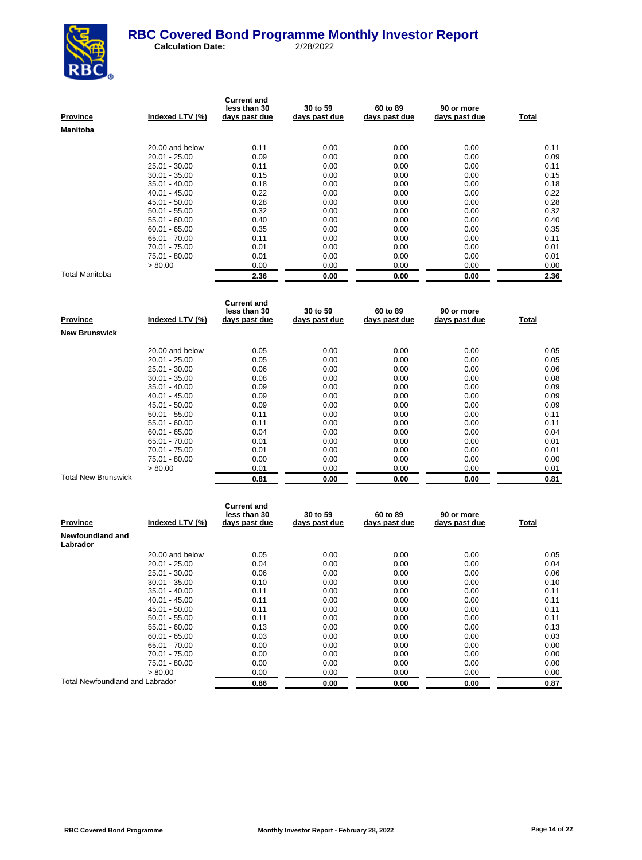

| <b>Province</b> | Indexed LTV (%) | <b>Current and</b><br>less than 30<br>days past due | 30 to 59<br>days past due | 60 to 89<br>days past due | 90 or more<br>days past due | Total |
|-----------------|-----------------|-----------------------------------------------------|---------------------------|---------------------------|-----------------------------|-------|
| Manitoba        |                 |                                                     |                           |                           |                             |       |
|                 | 20.00 and below | 0.11                                                | 0.00                      | 0.00                      | 0.00                        | 0.11  |
|                 | $20.01 - 25.00$ | 0.09                                                | 0.00                      | 0.00                      | 0.00                        | 0.09  |
|                 | 25.01 - 30.00   | 0.11                                                | 0.00                      | 0.00                      | 0.00                        | 0.11  |
|                 | $30.01 - 35.00$ | 0.15                                                | 0.00                      | 0.00                      | 0.00                        | 0.15  |
|                 | $35.01 - 40.00$ | 0.18                                                | 0.00                      | 0.00                      | 0.00                        | 0.18  |
|                 | $40.01 - 45.00$ | 0.22                                                | 0.00                      | 0.00                      | 0.00                        | 0.22  |
|                 | 45.01 - 50.00   | 0.28                                                | 0.00                      | 0.00                      | 0.00                        | 0.28  |
|                 | $50.01 - 55.00$ | 0.32                                                | 0.00                      | 0.00                      | 0.00                        | 0.32  |
|                 | $55.01 - 60.00$ | 0.40                                                | 0.00                      | 0.00                      | 0.00                        | 0.40  |
|                 | $60.01 - 65.00$ | 0.35                                                | 0.00                      | 0.00                      | 0.00                        | 0.35  |
|                 | 65.01 - 70.00   | 0.11                                                | 0.00                      | 0.00                      | 0.00                        | 0.11  |
|                 | 70.01 - 75.00   | 0.01                                                | 0.00                      | 0.00                      | 0.00                        | 0.01  |
|                 | 75.01 - 80.00   | 0.01                                                | 0.00                      | 0.00                      | 0.00                        | 0.01  |
|                 | > 80.00         | 0.00                                                | 0.00                      | 0.00                      | 0.00                        | 0.00  |
| Total Manitoba  |                 | 2.36                                                | 0.00                      | 0.00                      | 0.00                        | 2.36  |

| Province                   | Indexed LTV (%) | <b>Current and</b><br>less than 30<br>days past due | 30 to 59<br>days past due | 60 to 89<br>days past due | 90 or more<br>days past due | Total |
|----------------------------|-----------------|-----------------------------------------------------|---------------------------|---------------------------|-----------------------------|-------|
| <b>New Brunswick</b>       |                 |                                                     |                           |                           |                             |       |
|                            | 20.00 and below | 0.05                                                | 0.00                      | 0.00                      | 0.00                        | 0.05  |
|                            | $20.01 - 25.00$ | 0.05                                                | 0.00                      | 0.00                      | 0.00                        | 0.05  |
|                            | 25.01 - 30.00   | 0.06                                                | 0.00                      | 0.00                      | 0.00                        | 0.06  |
|                            | $30.01 - 35.00$ | 0.08                                                | 0.00                      | 0.00                      | 0.00                        | 0.08  |
|                            | $35.01 - 40.00$ | 0.09                                                | 0.00                      | 0.00                      | 0.00                        | 0.09  |
|                            | $40.01 - 45.00$ | 0.09                                                | 0.00                      | 0.00                      | 0.00                        | 0.09  |
|                            | 45.01 - 50.00   | 0.09                                                | 0.00                      | 0.00                      | 0.00                        | 0.09  |
|                            | $50.01 - 55.00$ | 0.11                                                | 0.00                      | 0.00                      | 0.00                        | 0.11  |
|                            | $55.01 - 60.00$ | 0.11                                                | 0.00                      | 0.00                      | 0.00                        | 0.11  |
|                            | $60.01 - 65.00$ | 0.04                                                | 0.00                      | 0.00                      | 0.00                        | 0.04  |
|                            | 65.01 - 70.00   | 0.01                                                | 0.00                      | 0.00                      | 0.00                        | 0.01  |
|                            | 70.01 - 75.00   | 0.01                                                | 0.00                      | 0.00                      | 0.00                        | 0.01  |
|                            | 75.01 - 80.00   | 0.00                                                | 0.00                      | 0.00                      | 0.00                        | 0.00  |
|                            | > 80.00         | 0.01                                                | 0.00                      | 0.00                      | 0.00                        | 0.01  |
| <b>Total New Brunswick</b> |                 | 0.81                                                | 0.00                      | 0.00                      | 0.00                        | 0.81  |

| <b>Province</b>                        | Indexed LTV (%) | <b>Current and</b><br>less than 30<br>days past due | 30 to 59<br>days past due | 60 to 89<br>days past due | 90 or more<br>days past due | Total |
|----------------------------------------|-----------------|-----------------------------------------------------|---------------------------|---------------------------|-----------------------------|-------|
| Newfoundland and<br>Labrador           |                 |                                                     |                           |                           |                             |       |
|                                        | 20.00 and below | 0.05                                                | 0.00                      | 0.00                      | 0.00                        | 0.05  |
|                                        | $20.01 - 25.00$ | 0.04                                                | 0.00                      | 0.00                      | 0.00                        | 0.04  |
|                                        | 25.01 - 30.00   | 0.06                                                | 0.00                      | 0.00                      | 0.00                        | 0.06  |
|                                        | 30.01 - 35.00   | 0.10                                                | 0.00                      | 0.00                      | 0.00                        | 0.10  |
|                                        | $35.01 - 40.00$ | 0.11                                                | 0.00                      | 0.00                      | 0.00                        | 0.11  |
|                                        | $40.01 - 45.00$ | 0.11                                                | 0.00                      | 0.00                      | 0.00                        | 0.11  |
|                                        | 45.01 - 50.00   | 0.11                                                | 0.00                      | 0.00                      | 0.00                        | 0.11  |
|                                        | $50.01 - 55.00$ | 0.11                                                | 0.00                      | 0.00                      | 0.00                        | 0.11  |
|                                        | $55.01 - 60.00$ | 0.13                                                | 0.00                      | 0.00                      | 0.00                        | 0.13  |
|                                        | $60.01 - 65.00$ | 0.03                                                | 0.00                      | 0.00                      | 0.00                        | 0.03  |
|                                        | 65.01 - 70.00   | 0.00                                                | 0.00                      | 0.00                      | 0.00                        | 0.00  |
|                                        | 70.01 - 75.00   | 0.00                                                | 0.00                      | 0.00                      | 0.00                        | 0.00  |
|                                        | 75.01 - 80.00   | 0.00                                                | 0.00                      | 0.00                      | 0.00                        | 0.00  |
|                                        | > 80.00         | 0.00                                                | 0.00                      | 0.00                      | 0.00                        | 0.00  |
| <b>Total Newfoundland and Labrador</b> |                 | 0.86                                                | 0.00                      | 0.00                      | 0.00                        | 0.87  |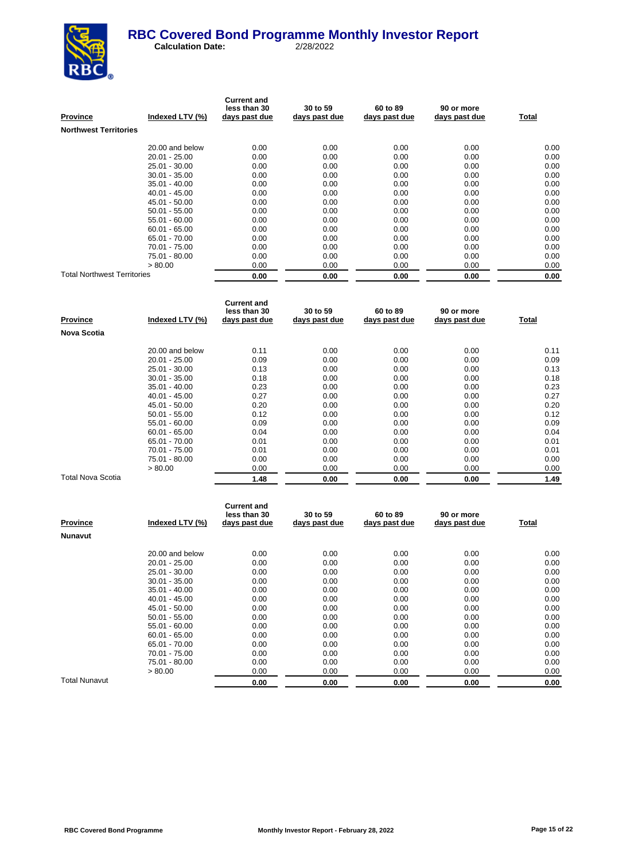

| <b>Province</b>                    | Indexed LTV (%) | <b>Current and</b><br>less than 30<br>days past due | 30 to 59<br>days past due | 60 to 89<br>days past due | 90 or more<br>days past due | Total |
|------------------------------------|-----------------|-----------------------------------------------------|---------------------------|---------------------------|-----------------------------|-------|
| <b>Northwest Territories</b>       |                 |                                                     |                           |                           |                             |       |
|                                    | 20.00 and below | 0.00                                                | 0.00                      | 0.00                      | 0.00                        | 0.00  |
|                                    | $20.01 - 25.00$ | 0.00                                                | 0.00                      | 0.00                      | 0.00                        | 0.00  |
|                                    | 25.01 - 30.00   | 0.00                                                | 0.00                      | 0.00                      | 0.00                        | 0.00  |
|                                    | $30.01 - 35.00$ | 0.00                                                | 0.00                      | 0.00                      | 0.00                        | 0.00  |
|                                    | $35.01 - 40.00$ | 0.00                                                | 0.00                      | 0.00                      | 0.00                        | 0.00  |
|                                    | $40.01 - 45.00$ | 0.00                                                | 0.00                      | 0.00                      | 0.00                        | 0.00  |
|                                    | 45.01 - 50.00   | 0.00                                                | 0.00                      | 0.00                      | 0.00                        | 0.00  |
|                                    | $50.01 - 55.00$ | 0.00                                                | 0.00                      | 0.00                      | 0.00                        | 0.00  |
|                                    | $55.01 - 60.00$ | 0.00                                                | 0.00                      | 0.00                      | 0.00                        | 0.00  |
|                                    | $60.01 - 65.00$ | 0.00                                                | 0.00                      | 0.00                      | 0.00                        | 0.00  |
|                                    | 65.01 - 70.00   | 0.00                                                | 0.00                      | 0.00                      | 0.00                        | 0.00  |
|                                    | 70.01 - 75.00   | 0.00                                                | 0.00                      | 0.00                      | 0.00                        | 0.00  |
|                                    | 75.01 - 80.00   | 0.00                                                | 0.00                      | 0.00                      | 0.00                        | 0.00  |
|                                    | > 80.00         | 0.00                                                | 0.00                      | 0.00                      | 0.00                        | 0.00  |
| <b>Total Northwest Territories</b> |                 | 0.00                                                | 0.00                      | 0.00                      | 0.00                        | 0.00  |

| Province           | Indexed LTV (%) | <b>Current and</b><br>less than 30<br>days past due | 30 to 59<br>days past due | 60 to 89<br>days past due | 90 or more<br>days past due | Total |
|--------------------|-----------------|-----------------------------------------------------|---------------------------|---------------------------|-----------------------------|-------|
| <b>Nova Scotia</b> |                 |                                                     |                           |                           |                             |       |
|                    | 20.00 and below | 0.11                                                | 0.00                      | 0.00                      | 0.00                        | 0.11  |
|                    | $20.01 - 25.00$ | 0.09                                                | 0.00                      | 0.00                      | 0.00                        | 0.09  |
|                    | $25.01 - 30.00$ | 0.13                                                | 0.00                      | 0.00                      | 0.00                        | 0.13  |
|                    | $30.01 - 35.00$ | 0.18                                                | 0.00                      | 0.00                      | 0.00                        | 0.18  |
|                    | $35.01 - 40.00$ | 0.23                                                | 0.00                      | 0.00                      | 0.00                        | 0.23  |
|                    | $40.01 - 45.00$ | 0.27                                                | 0.00                      | 0.00                      | 0.00                        | 0.27  |
|                    | 45.01 - 50.00   | 0.20                                                | 0.00                      | 0.00                      | 0.00                        | 0.20  |
|                    | $50.01 - 55.00$ | 0.12                                                | 0.00                      | 0.00                      | 0.00                        | 0.12  |
|                    | 55.01 - 60.00   | 0.09                                                | 0.00                      | 0.00                      | 0.00                        | 0.09  |
|                    | $60.01 - 65.00$ | 0.04                                                | 0.00                      | 0.00                      | 0.00                        | 0.04  |
|                    | 65.01 - 70.00   | 0.01                                                | 0.00                      | 0.00                      | 0.00                        | 0.01  |
|                    | 70.01 - 75.00   | 0.01                                                | 0.00                      | 0.00                      | 0.00                        | 0.01  |
|                    | 75.01 - 80.00   | 0.00                                                | 0.00                      | 0.00                      | 0.00                        | 0.00  |
|                    | > 80.00         | 0.00                                                | 0.00                      | 0.00                      | 0.00                        | 0.00  |
| Total Nova Scotia  |                 | 1.48                                                | 0.00                      | 0.00                      | 0.00                        | 1.49  |

| <b>Province</b> | Indexed LTV (%) | <b>Current and</b><br>less than 30<br>days past due | 30 to 59<br>days past due | 60 to 89<br>days past due | 90 or more<br>days past due | Total |
|-----------------|-----------------|-----------------------------------------------------|---------------------------|---------------------------|-----------------------------|-------|
| <b>Nunavut</b>  |                 |                                                     |                           |                           |                             |       |
|                 | 20.00 and below | 0.00                                                | 0.00                      | 0.00                      | 0.00                        | 0.00  |
|                 | $20.01 - 25.00$ | 0.00                                                | 0.00                      | 0.00                      | 0.00                        | 0.00  |
|                 | 25.01 - 30.00   | 0.00                                                | 0.00                      | 0.00                      | 0.00                        | 0.00  |
|                 | $30.01 - 35.00$ | 0.00                                                | 0.00                      | 0.00                      | 0.00                        | 0.00  |
|                 | $35.01 - 40.00$ | 0.00                                                | 0.00                      | 0.00                      | 0.00                        | 0.00  |
|                 | $40.01 - 45.00$ | 0.00                                                | 0.00                      | 0.00                      | 0.00                        | 0.00  |
|                 | 45.01 - 50.00   | 0.00                                                | 0.00                      | 0.00                      | 0.00                        | 0.00  |
|                 | $50.01 - 55.00$ | 0.00                                                | 0.00                      | 0.00                      | 0.00                        | 0.00  |
|                 | $55.01 - 60.00$ | 0.00                                                | 0.00                      | 0.00                      | 0.00                        | 0.00  |
|                 | $60.01 - 65.00$ | 0.00                                                | 0.00                      | 0.00                      | 0.00                        | 0.00  |
|                 | 65.01 - 70.00   | 0.00                                                | 0.00                      | 0.00                      | 0.00                        | 0.00  |
|                 | 70.01 - 75.00   | 0.00                                                | 0.00                      | 0.00                      | 0.00                        | 0.00  |
|                 | 75.01 - 80.00   | 0.00                                                | 0.00                      | 0.00                      | 0.00                        | 0.00  |
|                 | > 80.00         | 0.00                                                | 0.00                      | 0.00                      | 0.00                        | 0.00  |
| Total Nunavut   |                 | 0.00                                                | 0.00                      | 0.00                      | 0.00                        | 0.00  |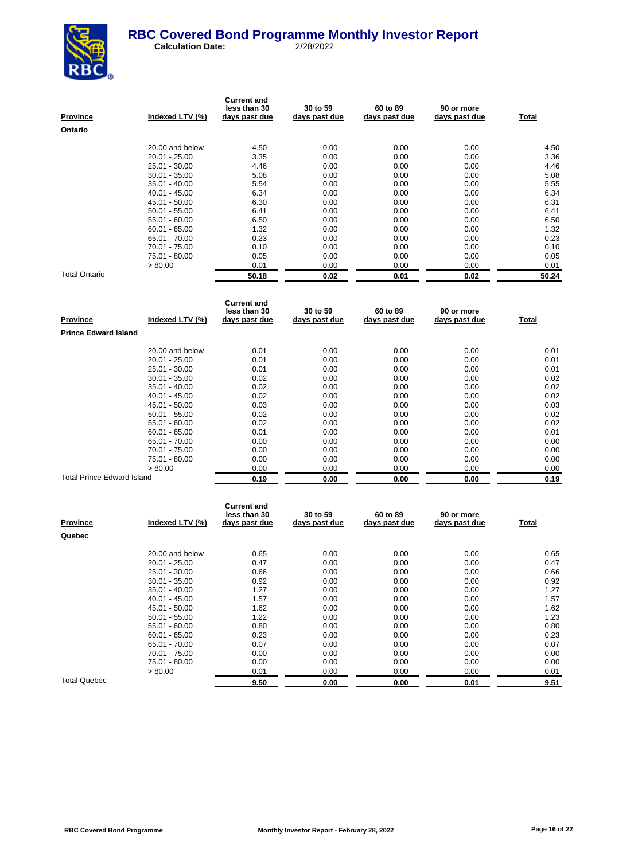

| Province      | Indexed LTV (%) | <b>Current and</b><br>less than 30<br>days past due | 30 to 59<br>days past due | 60 to 89<br>days past due | 90 or more<br>days past due | Total |
|---------------|-----------------|-----------------------------------------------------|---------------------------|---------------------------|-----------------------------|-------|
| Ontario       |                 |                                                     |                           |                           |                             |       |
|               | 20.00 and below | 4.50                                                | 0.00                      | 0.00                      | 0.00                        | 4.50  |
|               | $20.01 - 25.00$ | 3.35                                                | 0.00                      | 0.00                      | 0.00                        | 3.36  |
|               | 25.01 - 30.00   | 4.46                                                | 0.00                      | 0.00                      | 0.00                        | 4.46  |
|               | $30.01 - 35.00$ | 5.08                                                | 0.00                      | 0.00                      | 0.00                        | 5.08  |
|               | $35.01 - 40.00$ | 5.54                                                | 0.00                      | 0.00                      | 0.00                        | 5.55  |
|               | $40.01 - 45.00$ | 6.34                                                | 0.00                      | 0.00                      | 0.00                        | 6.34  |
|               | 45.01 - 50.00   | 6.30                                                | 0.00                      | 0.00                      | 0.00                        | 6.31  |
|               | $50.01 - 55.00$ | 6.41                                                | 0.00                      | 0.00                      | 0.00                        | 6.41  |
|               | $55.01 - 60.00$ | 6.50                                                | 0.00                      | 0.00                      | 0.00                        | 6.50  |
|               | $60.01 - 65.00$ | 1.32                                                | 0.00                      | 0.00                      | 0.00                        | 1.32  |
|               | 65.01 - 70.00   | 0.23                                                | 0.00                      | 0.00                      | 0.00                        | 0.23  |
|               | 70.01 - 75.00   | 0.10                                                | 0.00                      | 0.00                      | 0.00                        | 0.10  |
|               | 75.01 - 80.00   | 0.05                                                | 0.00                      | 0.00                      | 0.00                        | 0.05  |
|               | > 80.00         | 0.01                                                | 0.00                      | 0.00                      | 0.00                        | 0.01  |
| Total Ontario |                 | 50.18                                               | 0.02                      | 0.01                      | 0.02                        | 50.24 |

| Province                          | Indexed LTV (%) | <b>Current and</b><br>less than 30<br>days past due | 30 to 59<br>days past due | 60 to 89<br>days past due | 90 or more<br>days past due | Total |
|-----------------------------------|-----------------|-----------------------------------------------------|---------------------------|---------------------------|-----------------------------|-------|
| <b>Prince Edward Island</b>       |                 |                                                     |                           |                           |                             |       |
|                                   | 20.00 and below | 0.01                                                | 0.00                      | 0.00                      | 0.00                        | 0.01  |
|                                   | $20.01 - 25.00$ | 0.01                                                | 0.00                      | 0.00                      | 0.00                        | 0.01  |
|                                   | 25.01 - 30.00   | 0.01                                                | 0.00                      | 0.00                      | 0.00                        | 0.01  |
|                                   | $30.01 - 35.00$ | 0.02                                                | 0.00                      | 0.00                      | 0.00                        | 0.02  |
|                                   | $35.01 - 40.00$ | 0.02                                                | 0.00                      | 0.00                      | 0.00                        | 0.02  |
|                                   | $40.01 - 45.00$ | 0.02                                                | 0.00                      | 0.00                      | 0.00                        | 0.02  |
|                                   | 45.01 - 50.00   | 0.03                                                | 0.00                      | 0.00                      | 0.00                        | 0.03  |
|                                   | $50.01 - 55.00$ | 0.02                                                | 0.00                      | 0.00                      | 0.00                        | 0.02  |
|                                   | $55.01 - 60.00$ | 0.02                                                | 0.00                      | 0.00                      | 0.00                        | 0.02  |
|                                   | $60.01 - 65.00$ | 0.01                                                | 0.00                      | 0.00                      | 0.00                        | 0.01  |
|                                   | 65.01 - 70.00   | 0.00                                                | 0.00                      | 0.00                      | 0.00                        | 0.00  |
|                                   | 70.01 - 75.00   | 0.00                                                | 0.00                      | 0.00                      | 0.00                        | 0.00  |
|                                   | 75.01 - 80.00   | 0.00                                                | 0.00                      | 0.00                      | 0.00                        | 0.00  |
|                                   | > 80.00         | 0.00                                                | 0.00                      | 0.00                      | 0.00                        | 0.00  |
| <b>Total Prince Edward Island</b> |                 | 0.19                                                | 0.00                      | 0.00                      | 0.00                        | 0.19  |

| <b>Province</b>     | Indexed LTV (%) | <b>Current and</b><br>less than 30<br>days past due | 30 to 59<br>days past due | 60 to 89<br>days past due | 90 or more<br>days past due | Total |
|---------------------|-----------------|-----------------------------------------------------|---------------------------|---------------------------|-----------------------------|-------|
| Quebec              |                 |                                                     |                           |                           |                             |       |
|                     | 20.00 and below | 0.65                                                | 0.00                      | 0.00                      | 0.00                        | 0.65  |
|                     | 20.01 - 25.00   | 0.47                                                | 0.00                      | 0.00                      | 0.00                        | 0.47  |
|                     | 25.01 - 30.00   | 0.66                                                | 0.00                      | 0.00                      | 0.00                        | 0.66  |
|                     | $30.01 - 35.00$ | 0.92                                                | 0.00                      | 0.00                      | 0.00                        | 0.92  |
|                     | $35.01 - 40.00$ | 1.27                                                | 0.00                      | 0.00                      | 0.00                        | 1.27  |
|                     | $40.01 - 45.00$ | 1.57                                                | 0.00                      | 0.00                      | 0.00                        | 1.57  |
|                     | 45.01 - 50.00   | 1.62                                                | 0.00                      | 0.00                      | 0.00                        | 1.62  |
|                     | $50.01 - 55.00$ | 1.22                                                | 0.00                      | 0.00                      | 0.00                        | 1.23  |
|                     | $55.01 - 60.00$ | 0.80                                                | 0.00                      | 0.00                      | 0.00                        | 0.80  |
|                     | $60.01 - 65.00$ | 0.23                                                | 0.00                      | 0.00                      | 0.00                        | 0.23  |
|                     | 65.01 - 70.00   | 0.07                                                | 0.00                      | 0.00                      | 0.00                        | 0.07  |
|                     | 70.01 - 75.00   | 0.00                                                | 0.00                      | 0.00                      | 0.00                        | 0.00  |
|                     | 75.01 - 80.00   | 0.00                                                | 0.00                      | 0.00                      | 0.00                        | 0.00  |
|                     | > 80.00         | 0.01                                                | 0.00                      | 0.00                      | 0.00                        | 0.01  |
| <b>Total Quebec</b> |                 | 9.50                                                | 0.00                      | 0.00                      | 0.01                        | 9.51  |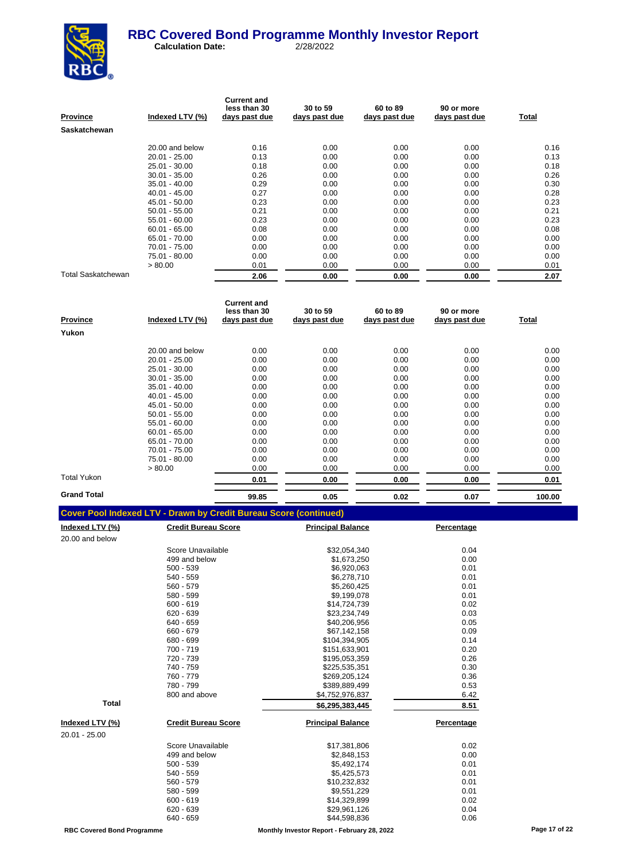

| Province           | Indexed LTV (%) | <b>Current and</b><br>less than 30<br>days past due | 30 to 59<br>days past due | 60 to 89<br>days past due | 90 or more<br>days past due | Total |
|--------------------|-----------------|-----------------------------------------------------|---------------------------|---------------------------|-----------------------------|-------|
| Saskatchewan       |                 |                                                     |                           |                           |                             |       |
|                    | 20.00 and below | 0.16                                                | 0.00                      | 0.00                      | 0.00                        | 0.16  |
|                    | $20.01 - 25.00$ | 0.13                                                | 0.00                      | 0.00                      | 0.00                        | 0.13  |
|                    | 25.01 - 30.00   | 0.18                                                | 0.00                      | 0.00                      | 0.00                        | 0.18  |
|                    | $30.01 - 35.00$ | 0.26                                                | 0.00                      | 0.00                      | 0.00                        | 0.26  |
|                    | $35.01 - 40.00$ | 0.29                                                | 0.00                      | 0.00                      | 0.00                        | 0.30  |
|                    | $40.01 - 45.00$ | 0.27                                                | 0.00                      | 0.00                      | 0.00                        | 0.28  |
|                    | 45.01 - 50.00   | 0.23                                                | 0.00                      | 0.00                      | 0.00                        | 0.23  |
|                    | $50.01 - 55.00$ | 0.21                                                | 0.00                      | 0.00                      | 0.00                        | 0.21  |
|                    | $55.01 - 60.00$ | 0.23                                                | 0.00                      | 0.00                      | 0.00                        | 0.23  |
|                    | $60.01 - 65.00$ | 0.08                                                | 0.00                      | 0.00                      | 0.00                        | 0.08  |
|                    | 65.01 - 70.00   | 0.00                                                | 0.00                      | 0.00                      | 0.00                        | 0.00  |
|                    | 70.01 - 75.00   | 0.00                                                | 0.00                      | 0.00                      | 0.00                        | 0.00  |
|                    | 75.01 - 80.00   | 0.00                                                | 0.00                      | 0.00                      | 0.00                        | 0.00  |
|                    | > 80.00         | 0.01                                                | 0.00                      | 0.00                      | 0.00                        | 0.01  |
| Total Saskatchewan |                 | 2.06                                                | 0.00                      | 0.00                      | 0.00                        | 2.07  |

| <b>Province</b>    | Indexed LTV (%) | <b>Current and</b><br>less than 30<br>days past due | 30 to 59<br>days past due | 60 to 89<br>days past due | 90 or more<br>days past due | Total  |
|--------------------|-----------------|-----------------------------------------------------|---------------------------|---------------------------|-----------------------------|--------|
| Yukon              |                 |                                                     |                           |                           |                             |        |
|                    | 20.00 and below | 0.00                                                | 0.00                      | 0.00                      | 0.00                        | 0.00   |
|                    | $20.01 - 25.00$ | 0.00                                                | 0.00                      | 0.00                      | 0.00                        | 0.00   |
|                    | $25.01 - 30.00$ | 0.00                                                | 0.00                      | 0.00                      | 0.00                        | 0.00   |
|                    | $30.01 - 35.00$ | 0.00                                                | 0.00                      | 0.00                      | 0.00                        | 0.00   |
|                    | $35.01 - 40.00$ | 0.00                                                | 0.00                      | 0.00                      | 0.00                        | 0.00   |
|                    | $40.01 - 45.00$ | 0.00                                                | 0.00                      | 0.00                      | 0.00                        | 0.00   |
|                    | 45.01 - 50.00   | 0.00                                                | 0.00                      | 0.00                      | 0.00                        | 0.00   |
|                    | $50.01 - 55.00$ | 0.00                                                | 0.00                      | 0.00                      | 0.00                        | 0.00   |
|                    | $55.01 - 60.00$ | 0.00                                                | 0.00                      | 0.00                      | 0.00                        | 0.00   |
|                    | $60.01 - 65.00$ | 0.00                                                | 0.00                      | 0.00                      | 0.00                        | 0.00   |
|                    | 65.01 - 70.00   | 0.00                                                | 0.00                      | 0.00                      | 0.00                        | 0.00   |
|                    | 70.01 - 75.00   | 0.00                                                | 0.00                      | 0.00                      | 0.00                        | 0.00   |
|                    | 75.01 - 80.00   | 0.00                                                | 0.00                      | 0.00                      | 0.00                        | 0.00   |
|                    | > 80.00         | 0.00                                                | 0.00                      | 0.00                      | 0.00                        | 0.00   |
| <b>Total Yukon</b> |                 | 0.01                                                | 0.00                      | 0.00                      | 0.00                        | 0.01   |
| <b>Grand Total</b> |                 | 99.85                                               | 0.05                      | 0.02                      | 0.07                        | 100.00 |

|  | <b>Cover Pool Indexed LTV - Drawn by Credit Bureau Score (continued)</b> |
|--|--------------------------------------------------------------------------|

| <u>Indexed LTV (%)</u> | <b>Credit Bureau Score</b> | <b>Principal Balance</b> | Percentage |
|------------------------|----------------------------|--------------------------|------------|
| 20.00 and below        |                            |                          |            |
|                        | Score Unavailable          | \$32,054,340             | 0.04       |
|                        | 499 and below              | \$1,673,250              | 0.00       |
|                        | $500 - 539$                | \$6,920,063              | 0.01       |
|                        | 540 - 559                  | \$6,278,710              | 0.01       |
|                        | 560 - 579                  | \$5,260,425              | 0.01       |
|                        | 580 - 599                  | \$9,199,078              | 0.01       |
|                        | $600 - 619$                | \$14,724,739             | 0.02       |
|                        | $620 - 639$                | \$23,234,749             | 0.03       |
|                        | 640 - 659                  | \$40,206,956             | 0.05       |
|                        | 660 - 679                  | \$67,142,158             | 0.09       |
|                        | 680 - 699                  | \$104,394,905            | 0.14       |
|                        | 700 - 719                  | \$151,633,901            | 0.20       |
|                        | 720 - 739                  | \$195,053,359            | 0.26       |
|                        | 740 - 759                  | \$225,535,351            | 0.30       |
|                        | 760 - 779                  | \$269,205,124            | 0.36       |
|                        | 780 - 799                  | \$389,889,499            | 0.53       |
|                        | 800 and above              | \$4,752,976,837          | 6.42       |
| <b>Total</b>           |                            | \$6,295,383,445          | 8.51       |
| Indexed LTV (%)        | <b>Credit Bureau Score</b> | <b>Principal Balance</b> | Percentage |
| 20.01 - 25.00          |                            |                          |            |
|                        | Score Unavailable          | \$17,381,806             | 0.02       |
|                        | 499 and below              | \$2,848,153              | 0.00       |
|                        | $500 - 539$                | \$5,492,174              | 0.01       |
|                        | $540 - 559$                | \$5,425,573              | 0.01       |
|                        | 560 - 579                  | \$10,232,832             | 0.01       |
|                        | 580 - 599                  | \$9,551,229              | 0.01       |
|                        | $600 - 619$                | \$14,329,899             | 0.02       |
|                        | 620 - 639                  | \$29,961,126             | 0.04       |
|                        | 640 - 659                  | \$44,598,836             | 0.06       |
|                        |                            |                          |            |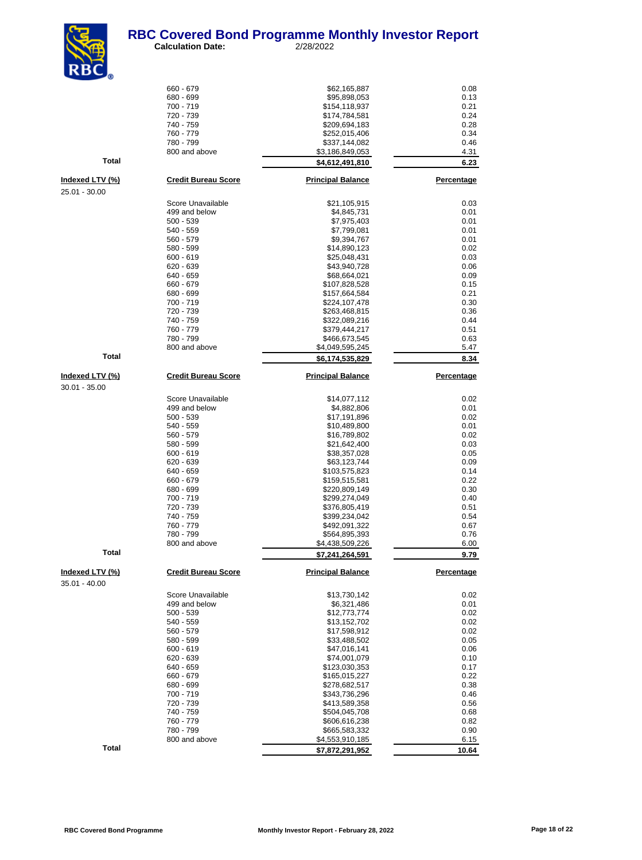

| $\mathbf{NDC}_{\odot}$ |                              |                                |                   |
|------------------------|------------------------------|--------------------------------|-------------------|
|                        | 660 - 679                    | \$62,165,887                   | 0.08              |
|                        | 680 - 699                    | \$95,898,053                   | 0.13              |
|                        | 700 - 719<br>720 - 739       | \$154,118,937<br>\$174,784,581 | 0.21<br>0.24      |
|                        | 740 - 759                    | \$209,694,183                  | 0.28              |
|                        | 760 - 779                    | \$252,015,406                  | 0.34              |
|                        | 780 - 799                    | \$337,144,082                  | 0.46              |
| <b>Total</b>           | 800 and above                | \$3,186,849,053                | 4.31              |
|                        |                              | <u>\$4,612,491,810</u>         | 6.23              |
| <u>Indexed LTV (%)</u> | <b>Credit Bureau Score</b>   | <b>Principal Balance</b>       | <b>Percentage</b> |
| 25.01 - 30.00          |                              |                                |                   |
|                        | Score Unavailable            | \$21,105,915                   | 0.03              |
|                        | 499 and below<br>$500 - 539$ | \$4,845,731                    | 0.01<br>0.01      |
|                        | 540 - 559                    | \$7,975,403<br>\$7,799,081     | 0.01              |
|                        | 560 - 579                    | \$9,394,767                    | 0.01              |
|                        | 580 - 599                    | \$14,890,123                   | 0.02              |
|                        | $600 - 619$                  | \$25,048,431                   | 0.03              |
|                        | 620 - 639<br>640 - 659       | \$43,940,728<br>\$68,664,021   | 0.06<br>0.09      |
|                        | 660 - 679                    | \$107,828,528                  | 0.15              |
|                        | 680 - 699                    | \$157,664,584                  | 0.21              |
|                        | 700 - 719                    | \$224,107,478                  | 0.30              |
|                        | 720 - 739                    | \$263,468,815                  | 0.36              |
|                        | 740 - 759<br>760 - 779       | \$322,089,216<br>\$379,444,217 | 0.44<br>0.51      |
|                        | 780 - 799                    | \$466,673,545                  | 0.63              |
|                        | 800 and above                | \$4,049,595,245                | 5.47              |
| Total                  |                              | <u>\$6,174,535,829</u>         | 8.34              |
| <u>Indexed LTV (%)</u> | <b>Credit Bureau Score</b>   | <b>Principal Balance</b>       | Percentage        |
| $30.01 - 35.00$        |                              |                                |                   |
|                        | Score Unavailable            | \$14,077,112                   | 0.02              |
|                        | 499 and below                | \$4,882,806                    | 0.01              |
|                        | $500 - 539$                  | \$17,191,896                   | 0.02              |
|                        | 540 - 559<br>560 - 579       | \$10,489,800<br>\$16,789,802   | 0.01<br>0.02      |
|                        | 580 - 599                    | \$21,642,400                   | 0.03              |
|                        | $600 - 619$                  | \$38,357,028                   | 0.05              |
|                        | $620 - 639$                  | \$63,123,744                   | 0.09              |
|                        | 640 - 659<br>660 - 679       | \$103,575,823                  | 0.14<br>0.22      |
|                        | 680 - 699                    | \$159,515,581<br>\$220,809,149 | 0.30              |
|                        | 700 - 719                    | \$299,274,049                  | 0.40              |
|                        | 720 - 739                    | \$376,805,419                  | 0.51              |
|                        | 740 - 759                    | \$399,234,042                  | 0.54              |
|                        | 760 - 779<br>780 - 799       | \$492,091,322<br>\$564,895,393 | 0.67<br>0.76      |
|                        | 800 and above                | \$4,438,509,226                | 6.00              |
| <b>Total</b>           |                              | \$7,241,264,591                | 9.79              |
| Indexed LTV (%)        | <b>Credit Bureau Score</b>   | <b>Principal Balance</b>       | Percentage        |
| $35.01 - 40.00$        |                              |                                |                   |
|                        | Score Unavailable            | \$13,730,142                   | 0.02              |
|                        | 499 and below                | \$6,321,486                    | 0.01              |
|                        | $500 - 539$<br>540 - 559     | \$12,773,774<br>\$13,152,702   | 0.02<br>0.02      |
|                        | 560 - 579                    | \$17,598,912                   | 0.02              |
|                        | 580 - 599                    | \$33,488,502                   | 0.05              |
|                        | $600 - 619$                  | \$47,016,141                   | 0.06              |
|                        | 620 - 639<br>640 - 659       | \$74,001,079<br>\$123,030,353  | 0.10<br>0.17      |
|                        | 660 - 679                    | \$165,015,227                  | 0.22              |
|                        | 680 - 699                    | \$278,682,517                  | 0.38              |
|                        | 700 - 719                    | \$343,736,296                  | 0.46              |
|                        | 720 - 739                    | \$413,589,358                  | 0.56              |
|                        | 740 - 759<br>760 - 779       | \$504,045,708<br>\$606,616,238 | 0.68<br>0.82      |
|                        | 780 - 799                    | \$665,583,332                  | 0.90              |
|                        | 800 and above                | \$4,553,910,185                | 6.15              |
| Total                  |                              | \$7,872,291,952                | 10.64             |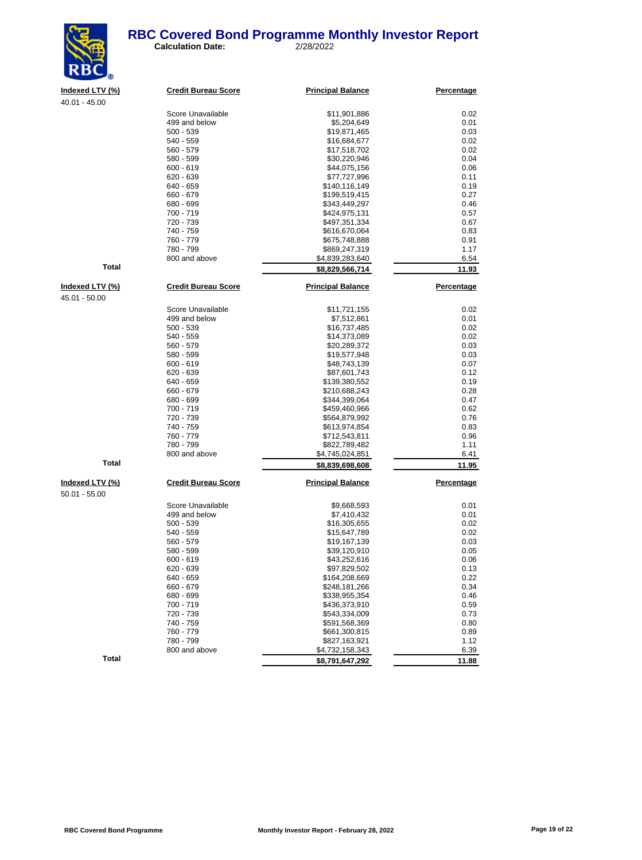#### **RBC Covered Bond Programme Monthly Investor Report**<br>
Calculation Date: 2/28/2022 **Calculation Date:**



40.01 - 45.00

| 40.01 - 45.00   |                            |                          |            |
|-----------------|----------------------------|--------------------------|------------|
|                 | Score Unavailable          | \$11,901,886             | 0.02       |
|                 | 499 and below              | \$5,204,649              | 0.01       |
|                 | $500 - 539$                | \$19,871,465             | 0.03       |
|                 | 540 - 559                  | \$16,684,677             | 0.02       |
|                 | 560 - 579                  | \$17,518,702             | 0.02       |
|                 | 580 - 599                  | \$30,220,946             | 0.04       |
|                 | $600 - 619$                | \$44,075,156             | 0.06       |
|                 | $620 - 639$                | \$77,727,996             | 0.11       |
|                 | 640 - 659                  | \$140,116,149            | 0.19       |
|                 | 660 - 679                  | \$199,519,415            | 0.27       |
|                 | 680 - 699                  | \$343,449,297            | 0.46       |
|                 | 700 - 719                  | \$424,975,131            | 0.57       |
|                 | 720 - 739                  | \$497,351,334            | 0.67       |
|                 | 740 - 759                  | \$616,670,064            | 0.83       |
|                 | 760 - 779                  | \$675,748,888            | 0.91       |
|                 | 780 - 799                  | \$869,247,319            | 1.17       |
|                 | 800 and above              | \$4,839,283,640          | 6.54       |
| <b>Total</b>    |                            | \$8,829,566,714          | 11.93      |
| Indexed LTV (%) | <b>Credit Bureau Score</b> | <b>Principal Balance</b> | Percentage |
| 45.01 - 50.00   |                            |                          |            |
|                 | Score Unavailable          | \$11,721,155             | 0.02       |
|                 | 499 and below              | \$7,512,861              | 0.01       |
|                 | $500 - 539$                | \$16,737,485             | 0.02       |
|                 | 540 - 559                  | \$14,373,089             | 0.02       |
|                 | 560 - 579                  | \$20,289,372             | 0.03       |
|                 | 580 - 599                  | \$19,577,948             | 0.03       |
|                 | $600 - 619$                | \$48,743,139             | 0.07       |
|                 | $620 - 639$                | \$87,601,743             | 0.12       |
|                 | 640 - 659                  | \$139,380,552            | 0.19       |
|                 | 660 - 679                  | \$210,688,243            | 0.28       |
|                 | 680 - 699                  | \$344,399,064            | 0.47       |
|                 | 700 - 719                  | \$459,460,966            | 0.62       |
|                 | 720 - 739                  | \$564,879,992            | 0.76       |
|                 | 740 - 759                  | \$613,974,854            | 0.83       |
|                 | 760 - 779                  | \$712,543,811            | 0.96       |
|                 | 780 - 799                  | \$822,789,482            | 1.11       |
|                 | 800 and above              | \$4,745,024,851          | 6.41       |
| <b>Total</b>    |                            | \$8,839,698,608          | 11.95      |
| Indexed LTV (%) | <b>Credit Bureau Score</b> | <b>Principal Balance</b> | Percentage |
| $50.01 - 55.00$ |                            |                          |            |
|                 | Score Unavailable          | \$9,668,593              | 0.01       |
|                 | 499 and below              | \$7,410,432              | 0.01       |
|                 | $500 - 539$                | \$16,305,655             | 0.02       |
|                 | 540 - 559                  | \$15,647,789             | 0.02       |
|                 | 560 - 579                  | \$19,167,139             | 0.03       |
|                 | 580 - 599                  | \$39,120,910             | 0.05       |
|                 | $600 - 619$                | \$43,252,616             | 0.06       |
|                 | 620 - 639                  | \$97,829,502             | 0.13       |
|                 | 640 - 659                  | \$164,208,669            | 0.22       |
|                 | 660 - 679                  | \$248,181,266            | 0.34       |
|                 | 680 - 699                  | \$338,955,354            | 0.46       |
|                 | 700 - 719                  | \$436,373,910            | 0.59       |
|                 | 720 - 739                  | \$543,334,009            | 0.73       |
|                 | 740 - 759                  | \$591,568,369            | 0.80       |
|                 | 760 - 779                  | \$661,300,815            | 0.89       |
|                 | 780 - 799                  | \$827,163,921            | 1.12       |
|                 | 800 and above              | \$4,732,158,343          | 6.39       |

**Total 11.88**<br> **11.88**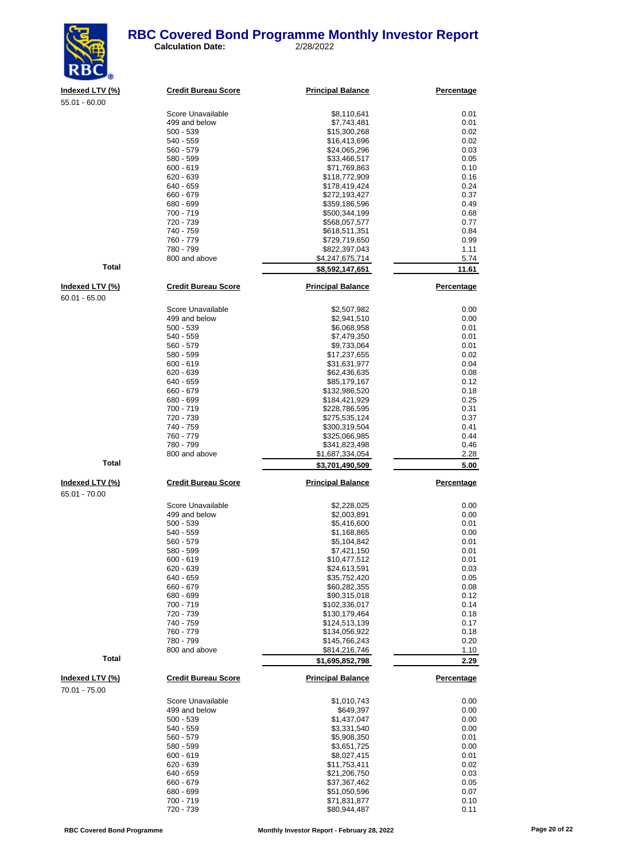#### **RBC Covered Bond Programme Monthly Investor Report**<br>
Calculation Date: 2/28/2022 **Calculation Date:**



| <u>Indexed LTV (%)</u>           | <b>Credit Bureau Score</b> | <b>Principal Balance</b>       | Percentage        |
|----------------------------------|----------------------------|--------------------------------|-------------------|
| 55.01 - 60.00                    |                            |                                |                   |
|                                  | Score Unavailable          | \$8,110,641                    | 0.01              |
|                                  | 499 and below              |                                | 0.01              |
|                                  |                            | \$7,743,481                    |                   |
|                                  | $500 - 539$                | \$15,300,268                   | 0.02              |
|                                  | 540 - 559                  | \$16,413,696                   | 0.02              |
|                                  | 560 - 579                  | \$24,065,296                   | 0.03              |
|                                  | 580 - 599                  | \$33,466,517                   | 0.05              |
|                                  | $600 - 619$                | \$71,769,863                   | 0.10              |
|                                  | 620 - 639                  | \$118,772,909                  | 0.16              |
|                                  | 640 - 659                  | \$178,419,424                  | 0.24              |
|                                  | 660 - 679                  | \$272,193,427                  | 0.37              |
|                                  | 680 - 699                  | \$359,186,596                  | 0.49              |
|                                  | 700 - 719                  | \$500,344,199                  | 0.68              |
|                                  | 720 - 739                  | \$568,057,577                  | 0.77              |
|                                  | 740 - 759                  | \$618,511,351                  | 0.84              |
|                                  | 760 - 779                  | \$729,719,650                  | 0.99              |
|                                  | 780 - 799                  | \$822,397,043                  | 1.11              |
|                                  | 800 and above              | \$4,247,675,714                | 5.74              |
| <b>Total</b>                     |                            | \$8,592,147,651                | 11.61             |
| Indexed LTV (%)                  | <b>Credit Bureau Score</b> | <b>Principal Balance</b>       | Percentage        |
| $60.01 - 65.00$                  |                            |                                |                   |
|                                  | Score Unavailable          | \$2,507,982                    | 0.00              |
|                                  | 499 and below              | \$2,941,510                    | 0.00              |
|                                  | $500 - 539$                | \$6,068,958                    | 0.01              |
|                                  | 540 - 559                  | \$7,479,350                    | 0.01              |
|                                  | 560 - 579                  | \$9,733,064                    | 0.01              |
|                                  | 580 - 599                  | \$17,237,655                   | 0.02              |
|                                  | $600 - 619$                | \$31,631,977                   | 0.04              |
|                                  | 620 - 639                  | \$62,436,635                   | 0.08              |
|                                  | 640 - 659                  | \$85,179,167                   | 0.12              |
|                                  | 660 - 679                  | \$132,986,520                  | 0.18              |
|                                  | 680 - 699                  | \$184,421,929                  | 0.25              |
|                                  | 700 - 719                  | \$228,786,595                  | 0.31              |
|                                  | 720 - 739                  | \$275,535,124                  | 0.37              |
|                                  | 740 - 759                  | \$300,319,504                  | 0.41              |
|                                  | 760 - 779                  | \$325,066,985                  | 0.44              |
|                                  | 780 - 799                  | \$341,823,498                  | 0.46              |
|                                  | 800 and above              | \$1,687,334,054                | 2.28              |
| <b>Total</b>                     |                            | \$3,701,490,509                | 5.00              |
|                                  |                            |                                |                   |
| Indexed LTV (%)<br>65.01 - 70.00 | <b>Credit Bureau Score</b> | <b>Principal Balance</b>       | <b>Percentage</b> |
|                                  | Score Unavailable          | \$2,228,025                    | 0.00              |
|                                  | 499 and below              | \$2,003,891                    | 0.00              |
|                                  | $500 - 539$                | \$5,416,600                    | 0.01              |
|                                  | 540 - 559                  | \$1,168,865                    | 0.00              |
|                                  | 560 - 579                  | \$5,104,842                    | 0.01              |
|                                  | 580 - 599                  | \$7,421,150                    | 0.01              |
|                                  | $600 - 619$                | \$10,477,512                   | 0.01              |
|                                  | 620 - 639                  | \$24,613,591                   | 0.03              |
|                                  | 640 - 659                  | \$35,752,420                   | 0.05              |
|                                  | 660 - 679                  | \$60,282,355                   | 0.08              |
|                                  | 680 - 699                  | \$90,315,018                   | 0.12              |
|                                  |                            |                                |                   |
|                                  | 700 - 719<br>720 - 739     | \$102,336,017<br>\$130,179,464 | 0.14<br>0.18      |
|                                  |                            |                                |                   |
|                                  | 740 - 759                  | \$124,513,139                  | 0.17              |
|                                  | 760 - 779                  | \$134,056,922                  | 0.18              |
|                                  | 780 - 799                  | \$145,766,243                  | 0.20              |
| <b>Total</b>                     | 800 and above              | \$814,216,746                  | 1.10              |
|                                  |                            | \$1,695,852,798                | 2.29              |
| Indexed LTV (%)<br>70.01 - 75.00 | <b>Credit Bureau Score</b> | <b>Principal Balance</b>       | <b>Percentage</b> |
|                                  | Score Unavailable          | \$1,010,743                    | 0.00              |
|                                  | 499 and below              | \$649,397                      | 0.00              |
|                                  | $500 - 539$                | \$1,437,047                    | 0.00              |
|                                  | 540 - 559                  | \$3,331,540                    | 0.00              |
|                                  | 560 - 579                  | \$5,908,350                    | 0.01              |
|                                  | 580 - 599                  | \$3,651,725                    | 0.00              |
|                                  | $600 - 619$                | \$8,027,415                    | 0.01              |
|                                  | 620 - 639                  | \$11,753,411                   | 0.02              |
|                                  | 640 - 659                  | \$21,206,750                   | 0.03              |
|                                  | 660 - 679                  | \$37,367,462                   | 0.05              |
|                                  | 680 - 699                  | \$51,050,596                   | 0.07              |
|                                  |                            |                                |                   |

700 - 719 \$71,831,877 0.10 720 - 739 \$80,944,487 0.11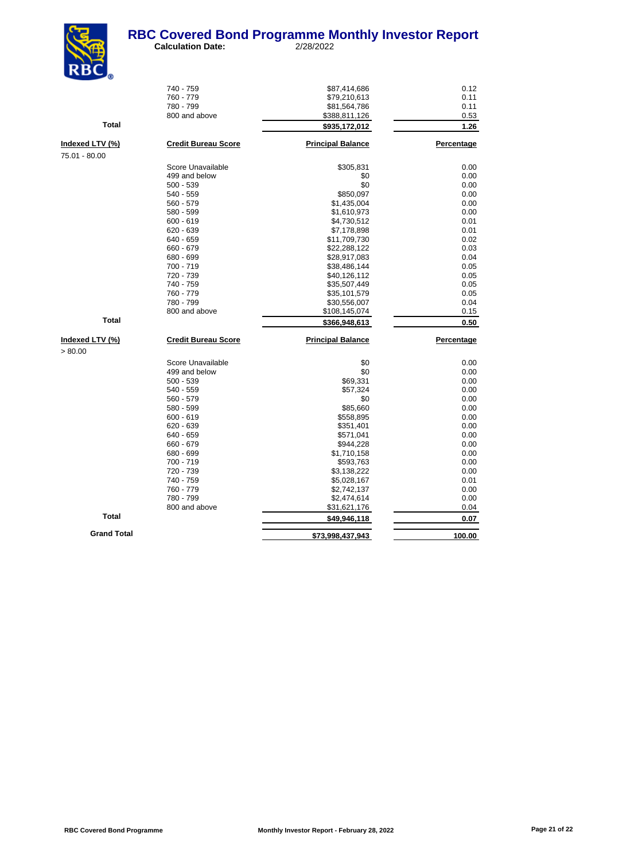

|                    | 740 - 759                  | \$87,414,686             | 0.12       |
|--------------------|----------------------------|--------------------------|------------|
|                    | 760 - 779                  | \$79,210,613             | 0.11       |
|                    | 780 - 799                  | \$81,564,786             | 0.11       |
|                    | 800 and above              | \$388,811,126            | 0.53       |
| <b>Total</b>       |                            | \$935,172,012            | 1.26       |
| Indexed LTV (%)    | <b>Credit Bureau Score</b> | <b>Principal Balance</b> | Percentage |
| 75.01 - 80.00      |                            |                          |            |
|                    | Score Unavailable          | \$305,831                | 0.00       |
|                    | 499 and below              | \$0                      | 0.00       |
|                    | $500 - 539$                | \$0                      | 0.00       |
|                    | 540 - 559                  | \$850,097                | 0.00       |
|                    | 560 - 579                  | \$1,435,004              | 0.00       |
|                    | 580 - 599                  | \$1,610,973              | 0.00       |
|                    | $600 - 619$                | \$4,730,512              | 0.01       |
|                    | $620 - 639$                | \$7,178,898              | 0.01       |
|                    | 640 - 659                  | \$11,709,730             | 0.02       |
|                    | 660 - 679                  | \$22,288,122             | 0.03       |
|                    | 680 - 699                  | \$28,917,083             | 0.04       |
|                    | 700 - 719                  | \$38,486,144             | 0.05       |
|                    | 720 - 739                  | \$40,126,112             | 0.05       |
|                    | 740 - 759                  | \$35,507,449             | 0.05       |
|                    | 760 - 779                  | \$35,101,579             | 0.05       |
|                    | 780 - 799                  | \$30,556,007             | 0.04       |
|                    | 800 and above              | \$108,145,074            | 0.15       |
| <b>Total</b>       |                            | \$366,948,613            | 0.50       |
| Indexed LTV (%)    | <b>Credit Bureau Score</b> | <b>Principal Balance</b> | Percentage |
| > 80.00            |                            |                          |            |
|                    | Score Unavailable          | \$0                      | 0.00       |
|                    | 499 and below              | \$0                      | 0.00       |
|                    | $500 - 539$                | \$69,331                 | 0.00       |
|                    | 540 - 559                  | \$57,324                 | 0.00       |
|                    | $560 - 579$                | \$0                      | 0.00       |
|                    | 580 - 599                  | \$85,660                 | 0.00       |
|                    | $600 - 619$                | \$558,895                | 0.00       |
|                    | $620 - 639$                | \$351,401                | 0.00       |
|                    | 640 - 659                  | \$571,041                | 0.00       |
|                    | 660 - 679                  | \$944,228                | 0.00       |
|                    | 680 - 699                  | \$1,710,158              | 0.00       |
|                    | 700 - 719                  | \$593,763                | 0.00       |
|                    | 720 - 739                  | \$3,138,222              | 0.00       |
|                    | 740 - 759                  | \$5,028,167              | 0.01       |
|                    | 760 - 779                  | \$2,742,137              | 0.00       |
|                    | 780 - 799                  | \$2,474,614              | 0.00       |
|                    | 800 and above              | \$31,621,176             | 0.04       |
| <b>Total</b>       |                            | \$49,946,118             | 0.07       |
| <b>Grand Total</b> |                            |                          |            |
|                    |                            | \$73,998,437,943         | 100.00     |